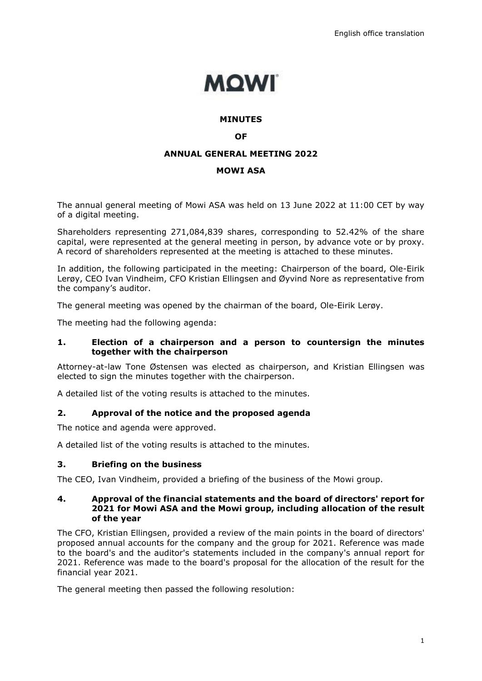

#### **MINUTES**

#### **OF**

#### **ANNUAL GENERAL MEETING 2022**

#### **MOWI ASA**

The annual general meeting of Mowi ASA was held on 13 June 2022 at 11:00 CET by way of a digital meeting.

Shareholders representing 271,084,839 shares, corresponding to 52.42% of the share capital, were represented at the general meeting in person, by advance vote or by proxy. A record of shareholders represented at the meeting is attached to these minutes.

In addition, the following participated in the meeting: Chairperson of the board, Ole-Eirik Lerøy, CEO Ivan Vindheim, CFO Kristian Ellingsen and Øyvind Nore as representative from the company's auditor.

The general meeting was opened by the chairman of the board, Ole-Eirik Lerøy.

The meeting had the following agenda:

#### **1. Election of a chairperson and a person to countersign the minutes together with the chairperson**

Attorney-at-law Tone Østensen was elected as chairperson, and Kristian Ellingsen was elected to sign the minutes together with the chairperson.

A detailed list of the voting results is attached to the minutes.

#### **2. Approval of the notice and the proposed agenda**

The notice and agenda were approved.

A detailed list of the voting results is attached to the minutes.

#### **3. Briefing on the business**

The CEO, Ivan Vindheim, provided a briefing of the business of the Mowi group.

#### **4. Approval of the financial statements and the board of directors' report for 2021 for Mowi ASA and the Mowi group, including allocation of the result of the year**

The CFO, Kristian Ellingsen, provided a review of the main points in the board of directors' proposed annual accounts for the company and the group for 2021. Reference was made to the board's and the auditor's statements included in the company's annual report for 2021. Reference was made to the board's proposal for the allocation of the result for the financial year 2021.

The general meeting then passed the following resolution: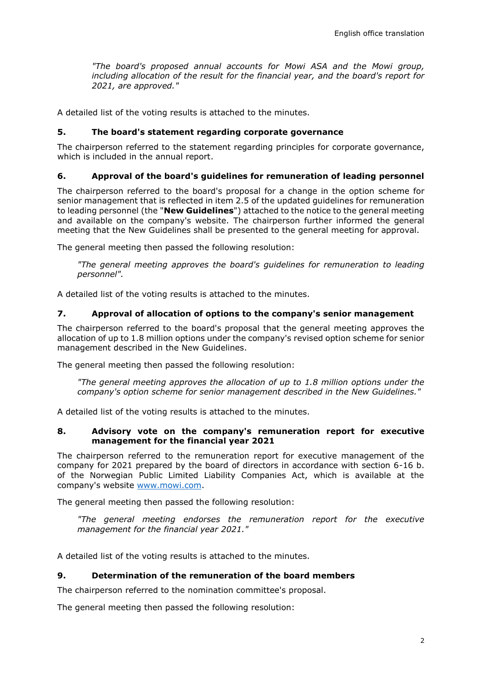*"The board's proposed annual accounts for Mowi ASA and the Mowi group, including allocation of the result for the financial year, and the board's report for 2021, are approved."*

A detailed list of the voting results is attached to the minutes.

### **5. The board's statement regarding corporate governance**

The chairperson referred to the statement regarding principles for corporate governance, which is included in the annual report.

### **6. Approval of the board's guidelines for remuneration of leading personnel**

The chairperson referred to the board's proposal for a change in the option scheme for senior management that is reflected in item 2.5 of the updated guidelines for remuneration to leading personnel (the "**New Guidelines**") attached to the notice to the general meeting and available on the company's website. The chairperson further informed the general meeting that the New Guidelines shall be presented to the general meeting for approval.

The general meeting then passed the following resolution:

*"The general meeting approves the board's guidelines for remuneration to leading personnel".*

A detailed list of the voting results is attached to the minutes.

#### **7. Approval of allocation of options to the company's senior management**

The chairperson referred to the board's proposal that the general meeting approves the allocation of up to 1.8 million options under the company's revised option scheme for senior management described in the New Guidelines.

The general meeting then passed the following resolution:

*"The general meeting approves the allocation of up to 1.8 million options under the company's option scheme for senior management described in the New Guidelines."*

A detailed list of the voting results is attached to the minutes.

#### **8. Advisory vote on the company's remuneration report for executive management for the financial year 2021**

The chairperson referred to the remuneration report for executive management of the company for 2021 prepared by the board of directors in accordance with section 6-16 b. of the Norwegian Public Limited Liability Companies Act, which is available at the company's website [www.mowi.com.](http://www.mowi.com/)

The general meeting then passed the following resolution:

*"The general meeting endorses the remuneration report for the executive management for the financial year 2021."*

A detailed list of the voting results is attached to the minutes.

#### **9. Determination of the remuneration of the board members**

The chairperson referred to the nomination committee's proposal.

The general meeting then passed the following resolution: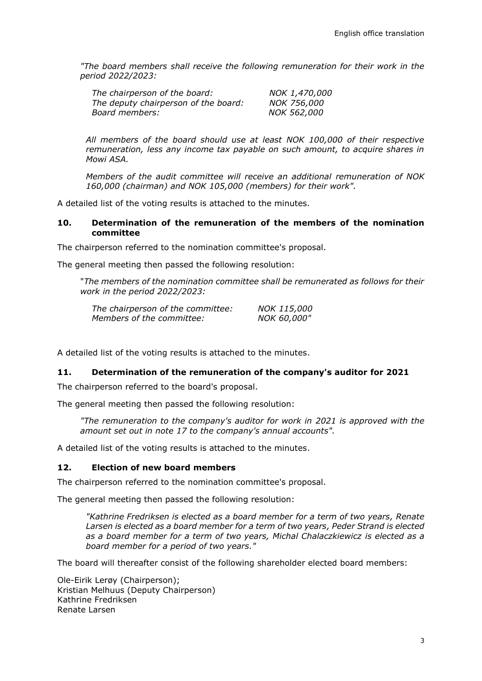*"The board members shall receive the following remuneration for their work in the period 2022/2023:*

| The chairperson of the board:        | NOK 1,470,000      |
|--------------------------------------|--------------------|
| The deputy chairperson of the board: | <i>NOK 756,000</i> |
| Board members:                       | NOK 562,000        |

*All members of the board should use at least NOK 100,000 of their respective remuneration, less any income tax payable on such amount, to acquire shares in Mowi ASA.*

*Members of the audit committee will receive an additional remuneration of NOK 160,000 (chairman) and NOK 105,000 (members) for their work".*

A detailed list of the voting results is attached to the minutes.

#### **10. Determination of the remuneration of the members of the nomination committee**

The chairperson referred to the nomination committee's proposal.

The general meeting then passed the following resolution:

"*The members of the nomination committee shall be remunerated as follows for their work in the period 2022/2023:*

| The chairperson of the committee: | NOK 115,000 |
|-----------------------------------|-------------|
| Members of the committee:         | NOK 60,000" |

A detailed list of the voting results is attached to the minutes.

#### **11. Determination of the remuneration of the company's auditor for 2021**

The chairperson referred to the board's proposal.

The general meeting then passed the following resolution:

*"The remuneration to the company's auditor for work in 2021 is approved with the amount set out in note 17 to the company's annual accounts".* 

A detailed list of the voting results is attached to the minutes.

#### **12. Election of new board members**

The chairperson referred to the nomination committee's proposal.

The general meeting then passed the following resolution:

*"Kathrine Fredriksen is elected as a board member for a term of two years, Renate Larsen is elected as a board member for a term of two years, Peder Strand is elected as a board member for a term of two years, Michal Chalaczkiewicz is elected as a board member for a period of two years."*

The board will thereafter consist of the following shareholder elected board members:

Ole-Eirik Lerøy (Chairperson); Kristian Melhuus (Deputy Chairperson) Kathrine Fredriksen Renate Larsen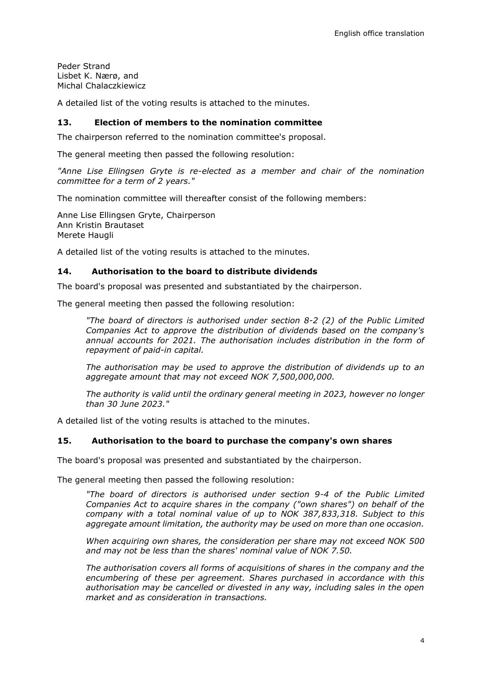Peder Strand Lisbet K. Nærø, and Michal Chalaczkiewicz

A detailed list of the voting results is attached to the minutes.

# **13. Election of members to the nomination committee**

The chairperson referred to the nomination committee's proposal.

The general meeting then passed the following resolution:

*"Anne Lise Ellingsen Gryte is re-elected as a member and chair of the nomination committee for a term of 2 years."*

The nomination committee will thereafter consist of the following members:

Anne Lise Ellingsen Gryte, Chairperson Ann Kristin Brautaset Merete Haugli

A detailed list of the voting results is attached to the minutes.

#### **14. Authorisation to the board to distribute dividends**

The board's proposal was presented and substantiated by the chairperson.

The general meeting then passed the following resolution:

*"The board of directors is authorised under section 8-2 (2) of the Public Limited Companies Act to approve the distribution of dividends based on the company's annual accounts for 2021. The authorisation includes distribution in the form of repayment of paid-in capital.*

*The authorisation may be used to approve the distribution of dividends up to an aggregate amount that may not exceed NOK 7,500,000,000.*

*The authority is valid until the ordinary general meeting in 2023, however no longer than 30 June 2023."*

A detailed list of the voting results is attached to the minutes.

#### **15. Authorisation to the board to purchase the company's own shares**

The board's proposal was presented and substantiated by the chairperson.

The general meeting then passed the following resolution:

*"The board of directors is authorised under section 9-4 of the Public Limited Companies Act to acquire shares in the company ("own shares") on behalf of the company with a total nominal value of up to NOK 387,833,318. Subject to this aggregate amount limitation, the authority may be used on more than one occasion.*

*When acquiring own shares, the consideration per share may not exceed NOK 500 and may not be less than the shares' nominal value of NOK 7.50.*

*The authorisation covers all forms of acquisitions of shares in the company and the encumbering of these per agreement. Shares purchased in accordance with this authorisation may be cancelled or divested in any way, including sales in the open market and as consideration in transactions.*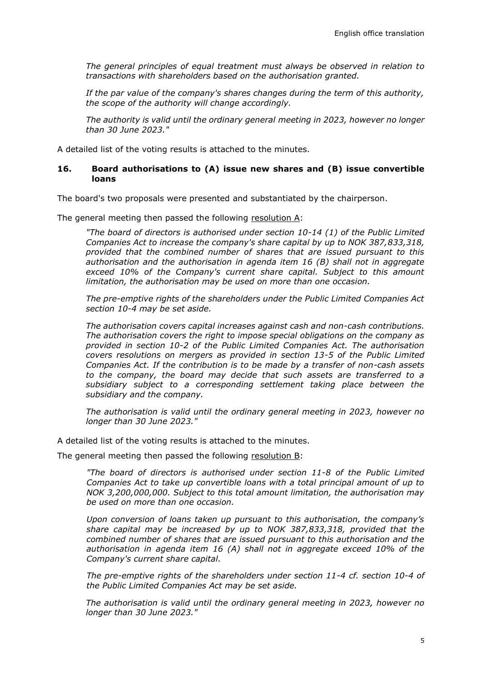*The general principles of equal treatment must always be observed in relation to transactions with shareholders based on the authorisation granted.*

*If the par value of the company's shares changes during the term of this authority, the scope of the authority will change accordingly.*

*The authority is valid until the ordinary general meeting in 2023, however no longer than 30 June 2023."*

A detailed list of the voting results is attached to the minutes.

#### **16. Board authorisations to (A) issue new shares and (B) issue convertible loans**

The board's two proposals were presented and substantiated by the chairperson.

The general meeting then passed the following resolution A:

*"The board of directors is authorised under section 10-14 (1) of the Public Limited Companies Act to increase the company's share capital by up to NOK 387,833,318, provided that the combined number of shares that are issued pursuant to this authorisation and the authorisation in agenda item 16 (B) shall not in aggregate exceed 10% of the Company's current share capital. Subject to this amount limitation, the authorisation may be used on more than one occasion.*

*The pre-emptive rights of the shareholders under the Public Limited Companies Act section 10-4 may be set aside.*

*The authorisation covers capital increases against cash and non-cash contributions. The authorisation covers the right to impose special obligations on the company as provided in section 10-2 of the Public Limited Companies Act. The authorisation covers resolutions on mergers as provided in section 13-5 of the Public Limited Companies Act. If the contribution is to be made by a transfer of non-cash assets to the company, the board may decide that such assets are transferred to a subsidiary subject to a corresponding settlement taking place between the subsidiary and the company.*

*The authorisation is valid until the ordinary general meeting in 2023, however no longer than 30 June 2023."*

A detailed list of the voting results is attached to the minutes.

The general meeting then passed the following resolution B:

*"The board of directors is authorised under section 11-8 of the Public Limited Companies Act to take up convertible loans with a total principal amount of up to NOK 3,200,000,000. Subject to this total amount limitation, the authorisation may be used on more than one occasion.*

*Upon conversion of loans taken up pursuant to this authorisation, the company's share capital may be increased by up to NOK 387,833,318, provided that the combined number of shares that are issued pursuant to this authorisation and the authorisation in agenda item 16 (A) shall not in aggregate exceed 10% of the Company's current share capital.*

*The pre-emptive rights of the shareholders under section 11-4 cf. section 10-4 of the Public Limited Companies Act may be set aside.* 

*The authorisation is valid until the ordinary general meeting in 2023, however no longer than 30 June 2023."*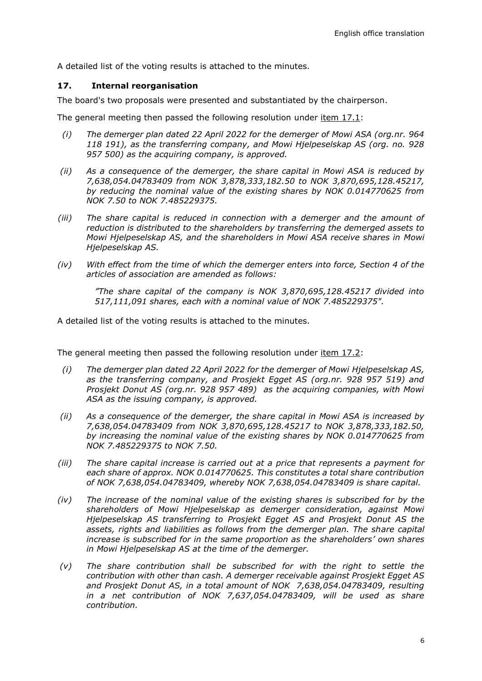A detailed list of the voting results is attached to the minutes.

# **17. Internal reorganisation**

The board's two proposals were presented and substantiated by the chairperson.

The general meeting then passed the following resolution under item 17.1:

- *(i) The demerger plan dated 22 April 2022 for the demerger of Mowi ASA (org.nr. 964 118 191), as the transferring company, and Mowi Hjelpeselskap AS (org. no. 928 957 500) as the acquiring company, is approved.*
- *(ii) As a consequence of the demerger, the share capital in Mowi ASA is reduced by 7,638,054.04783409 from NOK 3,878,333,182.50 to NOK 3,870,695,128.45217, by reducing the nominal value of the existing shares by NOK 0.014770625 from NOK 7.50 to NOK 7.485229375.*
- *(iii) The share capital is reduced in connection with a demerger and the amount of reduction is distributed to the shareholders by transferring the demerged assets to Mowi Hjelpeselskap AS, and the shareholders in Mowi ASA receive shares in Mowi Hjelpeselskap AS.*
- *(iv) With effect from the time of which the demerger enters into force, Section 4 of the articles of association are amended as follows:*

*"The share capital of the company is NOK 3,870,695,128.45217 divided into 517,111,091 shares, each with a nominal value of NOK 7.485229375".*

A detailed list of the voting results is attached to the minutes.

The general meeting then passed the following resolution under item 17.2:

- *(i) The demerger plan dated 22 April 2022 for the demerger of Mowi Hjelpeselskap AS, as the transferring company, and Prosjekt Egget AS (org.nr. 928 957 519) and Prosjekt Donut AS (org.nr. 928 957 489) as the acquiring companies, with Mowi ASA as the issuing company, is approved.*
- *(ii) As a consequence of the demerger, the share capital in Mowi ASA is increased by 7,638,054.04783409 from NOK 3,870,695,128.45217 to NOK 3,878,333,182.50, by increasing the nominal value of the existing shares by NOK 0.014770625 from NOK 7.485229375 to NOK 7.50.*
- *(iii) The share capital increase is carried out at a price that represents a payment for each share of approx. NOK 0.014770625. This constitutes a total share contribution of NOK 7,638,054.04783409, whereby NOK 7,638,054.04783409 is share capital.*
- *(iv) The increase of the nominal value of the existing shares is subscribed for by the shareholders of Mowi Hjelpeselskap as demerger consideration, against Mowi Hjelpeselskap AS transferring to Prosjekt Egget AS and Prosjekt Donut AS the*  assets, rights and liabilities as follows from the demerger plan. The share capital *increase is subscribed for in the same proportion as the shareholders' own shares in Mowi Hjelpeselskap AS at the time of the demerger.*
- *(v) The share contribution shall be subscribed for with the right to settle the contribution with other than cash. A demerger receivable against Prosjekt Egget AS and Prosjekt Donut AS, in a total amount of NOK 7,638,054.04783409, resulting in a net contribution of NOK 7,637,054.04783409, will be used as share contribution.*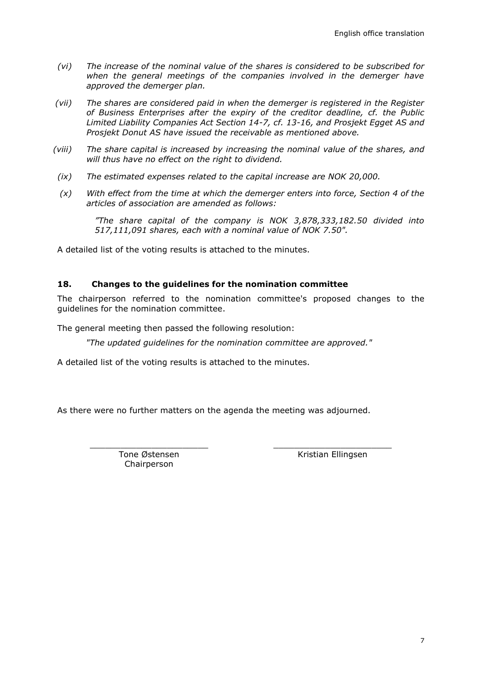- *(vi) The increase of the nominal value of the shares is considered to be subscribed for*  when the general meetings of the companies involved in the demerger have *approved the demerger plan.*
- *(vii) The shares are considered paid in when the demerger is registered in the Register of Business Enterprises after the expiry of the creditor deadline, cf. the Public Limited Liability Companies Act Section 14-7, cf. 13-16, and Prosjekt Egget AS and Prosjekt Donut AS have issued the receivable as mentioned above.*
- *(viii) The share capital is increased by increasing the nominal value of the shares, and will thus have no effect on the right to dividend.*
- *(ix) The estimated expenses related to the capital increase are NOK 20,000.*
- *(x) With effect from the time at which the demerger enters into force, Section 4 of the articles of association are amended as follows:*

*"The share capital of the company is NOK 3,878,333,182.50 divided into 517,111,091 shares, each with a nominal value of NOK 7.50".*

A detailed list of the voting results is attached to the minutes.

#### **18. Changes to the guidelines for the nomination committee**

The chairperson referred to the nomination committee's proposed changes to the guidelines for the nomination committee.

The general meeting then passed the following resolution:

*"The updated guidelines for the nomination committee are approved."*

A detailed list of the voting results is attached to the minutes.

As there were no further matters on the agenda the meeting was adjourned.

\_\_\_\_\_\_\_\_\_\_\_\_\_\_\_\_\_\_\_\_\_\_\_ Tone Østensen Chairperson

\_\_\_\_\_\_\_\_\_\_\_\_\_\_\_\_\_\_\_\_\_\_\_ Kristian Ellingsen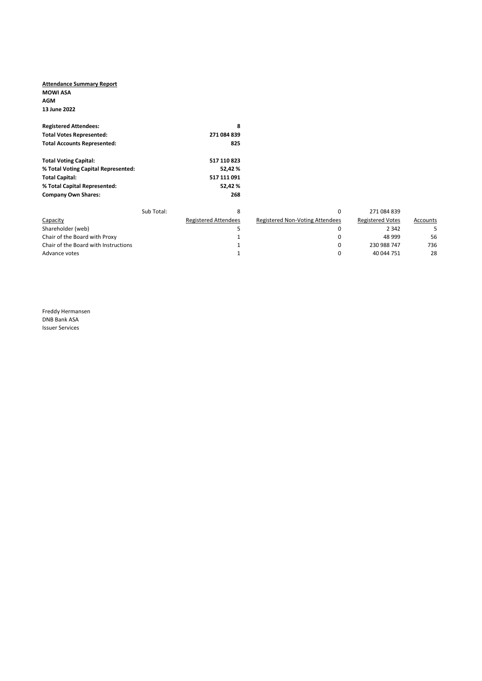#### Attendance Summary Report MOWI ASA AGM 13 June 2022

| <b>Registered Attendees:</b>        |            | 8                           |                                        |                         |          |
|-------------------------------------|------------|-----------------------------|----------------------------------------|-------------------------|----------|
| <b>Total Votes Represented:</b>     |            | 271 084 839                 |                                        |                         |          |
| <b>Total Accounts Represented:</b>  |            | 825                         |                                        |                         |          |
| <b>Total Voting Capital:</b>        |            | 517 110 823                 |                                        |                         |          |
| % Total Voting Capital Represented: |            | 52,42%                      |                                        |                         |          |
| <b>Total Capital:</b>               |            | 517 111 091                 |                                        |                         |          |
| % Total Capital Represented:        |            | 52,42%                      |                                        |                         |          |
| <b>Company Own Shares:</b>          |            | 268                         |                                        |                         |          |
|                                     | Sub Total: | 8                           | 0                                      | 271 084 839             |          |
| Capacity                            |            | <b>Registered Attendees</b> | <b>Registered Non-Voting Attendees</b> | <b>Registered Votes</b> | Accounts |
| Shareholder (web)                   |            | 5                           | 0                                      | 2 3 4 2                 | 5        |
| Chair of the Board with Proxy       |            |                             | 0                                      | 48 999                  | 56       |

|                                      | Sub Total: |                             |                                 | 271 084 839             |          |
|--------------------------------------|------------|-----------------------------|---------------------------------|-------------------------|----------|
| Capacity                             |            | <b>Registered Attendees</b> | Registered Non-Voting Attendees | <b>Registered Votes</b> | Accounts |
| Shareholder (web)                    |            |                             |                                 | 2 3 4 2                 |          |
| Chair of the Board with Proxy        |            |                             |                                 | 48 999                  | 56       |
| Chair of the Board with Instructions |            |                             |                                 | 230 988 747             | 736      |
| Advance votes                        |            |                             |                                 | 40 044 751              | 28       |

Freddy Hermansen DNB Bank ASA Issuer Services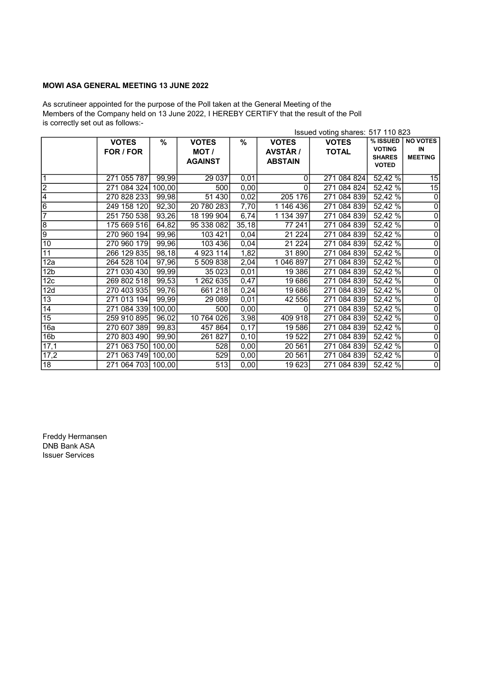# MOWI ASA GENERAL MEETING 13 JUNE 2022

As scrutineer appointed for the purpose of the Poll taken at the General Meeting of the Members of the Company held on 13 June 2022, I HEREBY CERTIFY that the result of the Poll is correctly set out as follows:-

|                  |              |        |                |       |                 | Issued voting shares: 517 110 823 |                               |                         |
|------------------|--------------|--------|----------------|-------|-----------------|-----------------------------------|-------------------------------|-------------------------|
|                  | <b>VOTES</b> | %      | <b>VOTES</b>   | %     | <b>VOTES</b>    | <b>VOTES</b>                      | % ISSUED                      | <b>NO VOTES</b>         |
|                  | FOR / FOR    |        | MOT /          |       | <b>AVSTÅR /</b> | <b>TOTAL</b>                      | <b>VOTING</b>                 | IN                      |
|                  |              |        | <b>AGAINST</b> |       | <b>ABSTAIN</b>  |                                   | <b>SHARES</b><br><b>VOTED</b> | <b>MEETING</b>          |
|                  |              |        |                |       |                 |                                   |                               |                         |
| $\overline{1}$   | 271 055 787  | 99,99  | 29 037         | 0,01  | 0               | 271 084 824                       | 52,42%                        | $\overline{15}$         |
| S                | 271 084 324  | 100,00 | 500            | 0,00  | 0               | 271 084 824                       | 52,42 %                       | 15                      |
| $\overline{4}$   | 270 828 233  | 99,98  | 51 430         | 0,02  | 205 176         | 271 084 839                       | 52,42 %                       | $\overline{0}$          |
| $\overline{6}$   | 249 158 120  | 92,30  | 20 780 283     | 7,70  | 1 146 436       | 271 084 839                       | 52,42%                        | $\overline{\mathbf{0}}$ |
| 7                | 251 750 538  | 93,26  | 18 199 904     | 6,74  | 1 134 397       | 271 084 839                       | 52,42%                        | $\overline{0}$          |
| $\overline{8}$   | 175 669 516  | 64,82  | 95 338 082     | 35,18 | 77 241          | 271 084 839                       | 52,42%                        | $\overline{0}$          |
| lه               | 270 960 194  | 99,96  | 103 421        | 0,04  | 21 2 24         | 271 084 839                       | 52,42 %                       | $\overline{0}$          |
| 10               | 270 960 179  | 99,96  | 103 436        | 0,04  | 21 2 24         | 271 084 839                       | 52,42 %                       | $\overline{\mathbf{0}}$ |
| 11               | 266 129 835  | 98,18  | 4 9 23 114     | 1,82  | 31 890          | 271 084 839                       | 52,42 %                       | $\overline{\mathbf{0}}$ |
| $\overline{12a}$ | 264 528 104  | 97,96  | 5 509 838      | 2,04  | 1 046 897       | 271 084 839                       | 52,42 %                       | $\overline{0}$          |
| 12 <sub>b</sub>  | 271 030 430  | 99,99  | 35 0 23        | 0,01  | 19 386          | 271 084 839                       | 52,42 %                       | $\overline{0}$          |
| 12 <sub>c</sub>  | 269 802 518  | 99,53  | 1 262 635      | 0,47  | 19686           | 271 084 839                       | 52,42 %                       | $\overline{0}$          |
| 12d              | 270 403 935  | 99,76  | 661 218        | 0,24  | 19686           | 271 084 839                       | 52,42%                        | $\overline{\mathsf{o}}$ |
| $\overline{13}$  | 271 013 194  | 99,99  | 29 089         | 0,01  | 42 556          | 271 084 839                       | 52,42%                        | $\overline{0}$          |
| 14               | 271 084 339  | 100,00 | 500            | 0,00  | 0               | 271 084 839 52,42 %               |                               | $\overline{\mathbf{0}}$ |
| 15               | 259 910 895  | 96,02  | 10 764 026     | 3,98  | 409 918         | 271 084 839                       | 52,42 %                       | $\overline{0}$          |
| 16a              | 270 607 389  | 99,83  | 457 864        | 0,17  | 19 586          | 271 084 839                       | 52,42 %                       | $\overline{\mathbf{o}}$ |
| 16 <sub>b</sub>  | 270 803 490  | 99,90  | 261 827        | 0,10  | 19 522          | 271 084 839                       | $\overline{52,}42\%$          | $\overline{0}$          |
| 17,1             | 271 063 750  | 100,00 | 528            | 0,00  | 20 561          | 271 084 839                       | 52,42 %                       | $\overline{\mathbf{0}}$ |
| 17,2             | 271 063 749  | 100,00 | 529            | 0,00  | 20 561          | 271 084 839                       | 52,42 %                       | $\overline{0}$          |
| 18               | 271 064 703  | 100,00 | 513            | 0,00  | 19623           | 271 084 839                       | 52,42 %                       | $\overline{\mathbf{0}}$ |

Freddy Hermansen DNB Bank ASA Issuer Services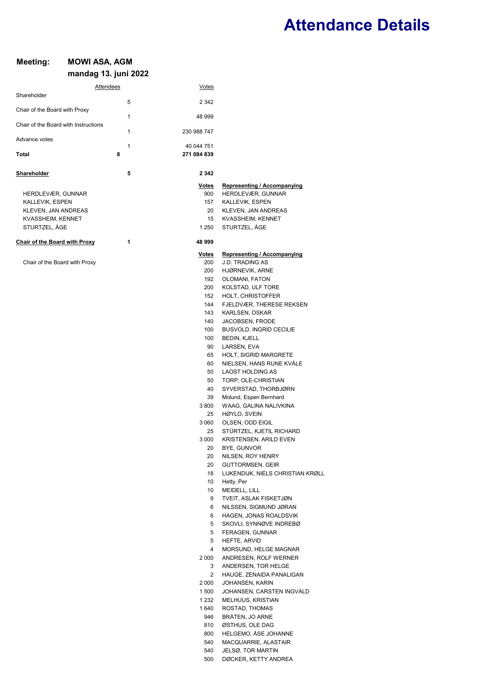# Attendance Details

# Meeting: MOWI ASA, AGM mandag 13. juni 2022

|                                      | Attendees    | <u>Votes</u>        |                                                       |
|--------------------------------------|--------------|---------------------|-------------------------------------------------------|
| Shareholder                          | 5            | 2 3 4 2             |                                                       |
| Chair of the Board with Proxy        |              |                     |                                                       |
| Chair of the Board with Instructions | 1            | 48 999              |                                                       |
|                                      | $\mathbf{1}$ | 230 988 747         |                                                       |
| Advance votes                        | 1            | 40 044 751          |                                                       |
| Total                                | 8            | 271 084 839         |                                                       |
| Shareholder                          | 5            | 2 3 4 2             |                                                       |
|                                      |              | <u>Votes</u>        | <b>Representing / Accompanying</b>                    |
| HERDLEVÆR, GUNNAR                    |              | 900                 | HERDLEVÆR, GUNNAR                                     |
| KALLEVIK, ESPEN                      |              | 157                 | KALLEVIK, ESPEN                                       |
| KLEVEN, JAN ANDREAS                  |              | 20                  | KLEVEN, JAN ANDREAS                                   |
| KVASSHEIM, KENNET<br>STURTZEL, ÅGE   |              | 15<br>1 250         | KVASSHEIM, KENNET<br>STURTZEL, ÅGE                    |
|                                      |              |                     |                                                       |
| <b>Chair of the Board with Proxy</b> | 1            | 48 999              |                                                       |
| Chair of the Board with Proxy        |              | <u>Votes</u><br>200 | Representing / Accompanying<br><b>J.D. TRADING AS</b> |
|                                      |              | 200                 | HJØRNEVIK, ARNE                                       |
|                                      |              | 192                 | OLOMANI, FATON                                        |
|                                      |              | 200                 | KOLSTAD, ULF TORE                                     |
|                                      |              | 152                 | HOLT, CHRISTOFFER                                     |
|                                      |              | 144                 | FJELDVÆR, THERESE REKSEN                              |
|                                      |              | 143                 | KARLSEN, OSKAR                                        |
|                                      |              | 140                 | JACOBSEN, FRODE                                       |
|                                      |              | 100                 | BUSVOLD, INGRID CECILIE                               |
|                                      |              | 100                 | BEDIN, KJELL                                          |
|                                      |              | 90                  | LARSEN, EVA                                           |
|                                      |              | 65<br>60            | HOLT, SIGRID MARGRETE<br>NIELSEN, HANS RUNE KVALE     |
|                                      |              | 50                  | <b>LAOST HOLDING AS</b>                               |
|                                      |              | 50                  | TORP, OLE-CHRISTIAN                                   |
|                                      |              | 40                  | SYVERSTAD, THORBJØRN                                  |
|                                      |              | 39                  | Molund, Espen Bernhard                                |
|                                      |              | 3 800               | WAAG, GALINA NALIVKINA                                |
|                                      |              | 25                  | HØYLO, SVEIN                                          |
|                                      |              | 3 060               | OLSEN, ODD EIGIL                                      |
|                                      |              | 25                  | STÜRTZEL, KJETIL RICHARD                              |
|                                      |              | 3 0 0 0             | KRISTENSEN, ARILD EVEN                                |
|                                      |              | 20                  | BYE, GUNVOR                                           |
|                                      |              | 20<br>20            | NILSEN, ROY HENRY<br>GUTTORMSEN, GEIR                 |
|                                      |              | 18                  | LIJKENDIJK, NIELS CHRISTIAN KRØLL                     |
|                                      |              | 10                  | Hetty, Per                                            |
|                                      |              | 10                  | MEIDELL, LILL                                         |
|                                      |              | 9                   | TVEIT, ASLAK FISKETJØN                                |
|                                      |              | 6                   | NILSSEN, SIGMUND JØRAN                                |
|                                      |              | 6                   | HAGEN, JONAS ROALDSVIK                                |
|                                      |              | 5                   | SKOVLI, SYNNØVE INDREBØ                               |
|                                      |              | 5                   | FERAGEN, GUNNAR                                       |
|                                      |              | 5<br>4              | HEFTE, ARVID<br>MORSUND, HELGE MAGNAR                 |
|                                      |              | 2 000               | ANDRESEN, ROLF WERNER                                 |
|                                      |              | 3                   | ANDERSEN, TOR HELGE                                   |
|                                      |              | 2                   | HAUGE, ZENAIDA PANALIGAN                              |
|                                      |              | 2 000               | JOHANSEN, KARIN                                       |
|                                      |              | 1 500               | JOHANSEN, CARSTEN INGVALD                             |
|                                      |              | 1 2 3 2             | MELHUUS, KRISTIAN                                     |
|                                      |              | 1 640               | ROSTAD, THOMAS                                        |
|                                      |              | 946                 | BRÅTEN, JO ARNE                                       |
|                                      |              | 810                 | ØSTHUS, OLE DAG                                       |
|                                      |              | 800                 | HELGEMO, ASE JOHANNE                                  |
|                                      |              | 540<br>540          | MACQUARRIE, ALASTAIR<br>JELSØ, TOR MARTIN             |
|                                      |              |                     |                                                       |

500 DØCKER, KETTY ANDREA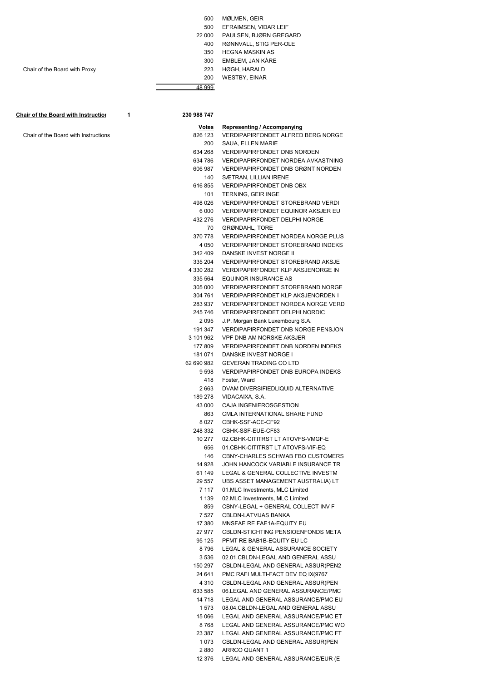|  | 500 | MØLMEN, GEIR |  |
|--|-----|--------------|--|
|--|-----|--------------|--|

- 500 EFRAIMSEN, VIDAR LEIF
- 22 000 PAULSEN, BJØRN GREGARD
	- 400 RØNNVALL, STIG PER-OLE
	- 350 HEGNA MASKIN AS
	-
	- 300 EMBLEM, JAN KÅRE<br>223 HØGH, HARALD
	- 200 WESTBY, EINAR

Chair of the Board with Instruction 1 230 988 747

Chair of the Board with Proxy

Chair of the Board with Instructions

48 999

| Votes                | <b>Representing / Accompanying</b>                                           |
|----------------------|------------------------------------------------------------------------------|
| 826 123              | <b>VERDIPAPIRFONDET ALFRED BERG NORGE</b>                                    |
| 200                  | SAUA, ELLEN MARIE                                                            |
| 634 268              | VERDIPAPIRFONDET DNB NORDEN                                                  |
| 634 786              | VERDIPAPIRFONDET NORDEA AVKASTNING                                           |
| 606 987              | VERDIPAPIRFONDET DNB GRØNT NORDEN                                            |
| 140                  | SÆTRAN, LILLIAN IRENE                                                        |
| 616 855              | VERDIPAPIRFONDET DNB OBX                                                     |
| 101                  | <b>TERNING, GEIR INGE</b>                                                    |
| 498 026              | VERDIPAPIRFONDET STOREBRAND VERDI                                            |
| 6 000                | VERDIPAPIRFONDET EQUINOR AKSJER EU                                           |
| 432 276              | <b>VERDIPAPIRFONDET DELPHI NORGE</b>                                         |
| 70                   | <b>GRØNDAHL, TORE</b>                                                        |
| 370 778              | <b>VERDIPAPIRFONDET NORDEA NORGE PLUS</b>                                    |
| 4 0 5 0              | <b>VERDIPAPIRFONDET STOREBRAND INDEKS</b>                                    |
| 342 409              | DANSKE INVEST NORGE II                                                       |
| 335 204              | <b>VERDIPAPIRFONDET STOREBRAND AKSJE</b>                                     |
| 4 330 282            | VERDIPAPIRFONDET KLP AKSJENORGE IN                                           |
| 335 564              | EQUINOR INSURANCE AS                                                         |
| 305 000              | <b>VERDIPAPIRFONDET STOREBRAND NORGE</b>                                     |
| 304 761              | <b>VERDIPAPIRFONDET KLP AKSJENORDEN I</b>                                    |
| 283 937              | VERDIPAPIRFONDET NORDEA NORGE VERD                                           |
| 245 746              | <b>VERDIPAPIRFONDET DELPHI NORDIC</b>                                        |
| 2 095                | J.P. Morgan Bank Luxembourg S.A.                                             |
| 191 347              | <b>VERDIPAPIRFONDET DNB NORGE PENSJON</b><br><b>VPF DNB AM NORSKE AKSJER</b> |
| 3 101 962<br>177 809 | <b>VERDIPAPIRFONDET DNB NORDEN INDEKS</b>                                    |
| 181 071              | DANSKE INVEST NORGE I                                                        |
| 62 690 982           | <b>GEVERAN TRADING CO LTD</b>                                                |
| 9 598                | <b>VERDIPAPIRFONDET DNB EUROPA INDEKS</b>                                    |
| 418                  | Foster, Ward                                                                 |
| 2 663                | DVAM DIVERSIFIEDLIQUID ALTERNATIVE                                           |
| 189 278              | VIDACAIXA, S.A.                                                              |
| 43 000               | CAJA INGENIEROSGESTION                                                       |
| 863                  | CMLA INTERNATIONAL SHARE FUND                                                |
| 8 027                | CBHK-SSF-ACE-CF92                                                            |
| 248 332              | CBHK-SSF-EUE-CF83                                                            |
| 10 277               | 02.CBHK-CITITRST LT ATOVFS-VMGF-E                                            |
| 656                  | 01.CBHK-CITITRST LT ATOVFS-VIF-EQ                                            |
| 146                  | CBNY-CHARLES SCHWAB FBO CUSTOMERS                                            |
| 14 928               | JOHN HANCOCK VARIABLE INSURANCE TR                                           |
| 61 149               | LEGAL & GENERAL COLLECTIVE INVESTM                                           |
| 29 557               | UBS ASSET MANAGEMENT AUSTRALIA) LT                                           |
| 7 1 1 7              | 01.MLC Investments, MLC Limited                                              |
| 1 1 3 9              | 02.MLC Investments, MLC Limited                                              |
| 859                  | CBNY-LEGAL + GENERAL COLLECT INV F                                           |
| 7 527                | CBLDN-LATVIJAS BANKA                                                         |
| 17 380               | MNSFAE RE FAE1A-EQUITY EU                                                    |
| 27 977               | CBLDN-STICHTING PENSIOENFONDS META                                           |
| 95 125<br>8796       | PFMT RE BAB1B-EQUITY EU LC                                                   |
|                      | LEGAL & GENERAL ASSURANCE SOCIETY<br>02.01.CBLDN-LEGAL AND GENERAL ASSU      |
| 3 536<br>150 297     | CBLDN-LEGAL AND GENERAL ASSUR(PEN2                                           |
| 24 641               | PMC RAFI MULTI-FACT DEV EQ IX(9767                                           |
| 4 3 1 0              | CBLDN-LEGAL AND GENERAL ASSUR(PEN                                            |
| 633 585              | 06.LEGAL AND GENERAL ASSURANCE/PMC                                           |
| 14 718               | LEGAL AND GENERAL ASSURANCE/PMC EU                                           |
| 1 573                | 08.04.CBLDN-LEGAL AND GENERAL ASSU                                           |
| 15 066               | LEGAL AND GENERAL ASSURANCE/PMC ET                                           |
| 8768                 | LEGAL AND GENERAL ASSURANCE/PMC WO                                           |
| 23 387               | LEGAL AND GENERAL ASSURANCE/PMC FT                                           |
| 1073                 | CBLDN-LEGAL AND GENERAL ASSUR(PEN                                            |
| 2 880                | ARRCO QUANT 1                                                                |

12 376 LEGAL AND GENERAL ASSURANCE/EUR (E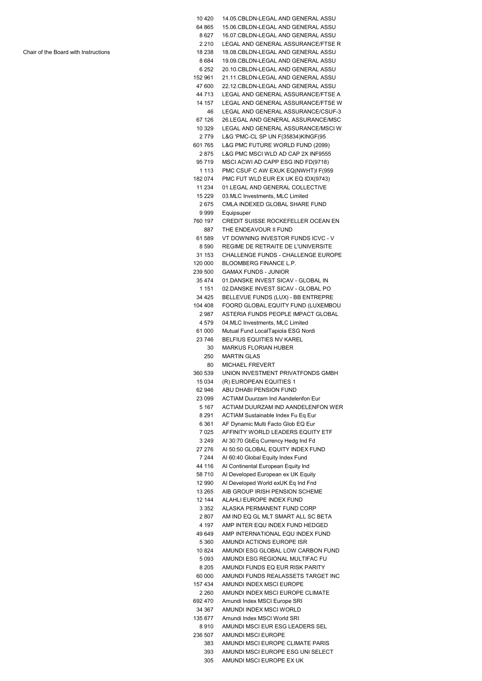| 10 4 20            | 14.05.CBLDN-LEGAL AND GENERAL ASSU                                       |
|--------------------|--------------------------------------------------------------------------|
| 64 865             | 15.06.CBLDN-LEGAL AND GENERAL ASSU                                       |
| 8 627              | 16.07.CBLDN-LEGAL AND GENERAL ASSU                                       |
| 2 2 1 0            | LEGAL AND GENERAL ASSURANCE/FTSE R                                       |
| 18 238             | 18.08.CBLDN-LEGAL AND GENERAL ASSU                                       |
| 8684               | 19.09.CBLDN-LEGAL AND GENERAL ASSU                                       |
| 6 252              | 20.10.CBLDN-LEGAL AND GENERAL ASSU                                       |
| 152 961            | 21.11.CBLDN-LEGAL AND GENERAL ASSU                                       |
| 47 600             | 22.12.CBLDN-LEGAL AND GENERAL ASSU                                       |
| 44 713             | LEGAL AND GENERAL ASSURANCE/FTSE A                                       |
| 14 157             | LEGAL AND GENERAL ASSURANCE/FTSE W                                       |
| 46                 | LEGAL AND GENERAL ASSURANCE/CSUF-3                                       |
| 67 126             | 26.LEGAL AND GENERAL ASSURANCE/MSC                                       |
| 10 329             | LEGAL AND GENERAL ASSURANCE/MSCI W                                       |
| 2779<br>601765     | L&G 'PMC-CL SP UN F(35834)KINGF(95<br>L&G PMC FUTURE WORLD FUND (2099)   |
| 2875               | L&G PMC MSCI WLD AD CAP 2X INF9555                                       |
| 95 719             | MSCI ACWI AD CAPP ESG IND FD(9718)                                       |
| 1 1 1 3            | PMC CSUF C AW EXUK EQ(NWHT)I F(959                                       |
| 182 074            | PMC FUT WLD EUR EX UK EQ IDX(9743)                                       |
| 11 234             | 01.LEGAL AND GENERAL COLLECTIVE                                          |
| 15 2 2 9           | 03.MLC Investments, MLC Limited                                          |
| 2675               | CMLA INDEXED GLOBAL SHARE FUND                                           |
| 9 999              | Equipsuper                                                               |
| 760 197            | <b>CREDIT SUISSE ROCKEFELLER OCEAN EN</b>                                |
| 887                | THE ENDEAVOUR II FUND                                                    |
| 61 589             | VT DOWNING INVESTOR FUNDS ICVC - V                                       |
| 8590               | REGIME DE RETRAITE DE L'UNIVERSITE                                       |
| 31 153             | CHALLENGE FUNDS - CHALLENGE EUROPE                                       |
| 120 000            | <b>BLOOMBERG FINANCE L.P.</b>                                            |
| 239 500            | <b>GAMAX FUNDS - JUNIOR</b>                                              |
| 35 474             | 01.DANSKE INVEST SICAV - GLOBAL IN                                       |
| 1 1 5 1            | 02.DANSKE INVEST SICAV - GLOBAL PO                                       |
| 34 4 25            | BELLEVUE FUNDS (LUX) - BB ENTREPRE                                       |
| 104 408            | FOORD GLOBAL EQUITY FUND (LUXEMBOU                                       |
| 2987               | ASTERIA FUNDS PEOPLE IMPACT GLOBAL                                       |
| 4579               | 04.MLC Investments, MLC Limited                                          |
| 61 000             | Mutual Fund LocalTapiola ESG Nordi                                       |
|                    |                                                                          |
| 23746              | BELFIUS EQUITIES NV KAREL                                                |
| 30                 | <b>MARKUS FLORIAN HUBER</b>                                              |
| 250                | <b>MARTIN GLAS</b>                                                       |
| 80                 | <b>MICHAEL FREVERT</b>                                                   |
| 360 539            | UNION INVESTMENT PRIVATFONDS GMBH                                        |
| 15 0 34            | (R) EUROPEAN EQUITIES 1                                                  |
| 62 946             | ABU DHABI PENSION FUND                                                   |
| 23 099             | <b>ACTIAM Duurzam Ind Aandelenfon Eur</b>                                |
| 5 1 6 7            | ACTIAM DUURZAM IND AANDELENFON WER                                       |
| 8 2 9 1<br>6 3 6 1 | ACTIAM Sustainable Index Fu Eq Eur<br>AF Dynamic Multi Facto Glob EQ Eur |
| 7025               | AFFINITY WORLD LEADERS EQUITY ETF                                        |
| 3 2 4 9            | AI 30:70 GbEq Currency Hedg Ind Fd                                       |
| 27 276             | AI 50:50 GLOBAL EQUITY INDEX FUND                                        |
| 7 244              | AI 60:40 Global Equity Index Fund                                        |
| 44 116             | Al Continental European Equity Ind                                       |
| 58710              | Al Developed European ex UK Equity                                       |
| 12 990             | AI Developed World exUK Eq Ind Fnd                                       |
| 13 265             | AIB GROUP IRISH PENSION SCHEME                                           |
| 12 144             | ALAHLI EUROPE INDEX FUND                                                 |
| 3 3 5 2            | ALASKA PERMANENT FUND CORP                                               |
| 2807               | AM IND EQ GL MLT SMART ALL SC BETA                                       |
| 4 197              | AMP INTER EQU INDEX FUND HEDGED                                          |
| 49 649             | AMP INTERNATIONAL EQU INDEX FUND                                         |
| 5 3 6 0            | AMUNDI ACTIONS EUROPE ISR                                                |
| 10 824             | AMUNDI ESG GLOBAL LOW CARBON FUND                                        |
| 5093<br>8 2 0 5    | AMUNDI ESG REGIONAL MULTIFAC FU<br>AMUNDI FUNDS EQ EUR RISK PARITY       |
| 60 000             | AMUNDI FUNDS REALASSETS TARGET INC                                       |
| 157 434            | AMUNDI INDEX MSCI EUROPE                                                 |
| 2 2 6 0            | AMUNDI INDEX MSCI EUROPE CLIMATE                                         |
| 692 470            | Amundi Index MSCI Europe SRI                                             |
| 34 367             | AMUNDI INDEX MSCI WORLD                                                  |
| 135 877            | Amundi Index MSCI World SRI                                              |
| 8910               | AMUNDI MSCI EUR ESG LEADERS SEL                                          |
| 236 507            | <b>AMUNDI MSCI EUROPE</b>                                                |
| 383<br>393         | AMUNDI MSCI EUROPE CLIMATE PARIS<br>AMUNDI MSCI EUROPE ESG UNI SELECT    |

305 AMUNDI MSCI EUROPE EX UK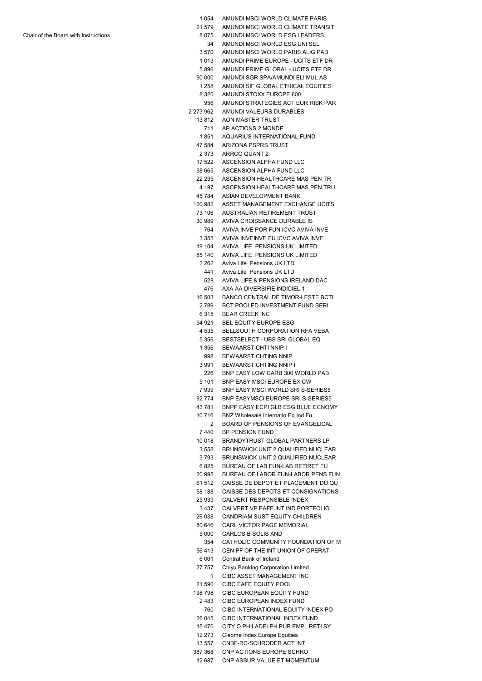| 1 054          | AMUNDI MSCI WORLD CLIMATE PARIS           |
|----------------|-------------------------------------------|
| 21 579         | AMUNDI MSCI WORLD CLIMATE TRANSIT         |
| 8075           | AMUNDI MSCI WORLD ESG LEADERS             |
| 34             | AMUNDI MSCI WORLD ESG UNI SEL             |
| 3570           | AMUNDI MSCI WORLD PARIS ALIG PAB          |
| 1 0 1 3        | AMUNDI PRIME EUROPE - UCITS ETF DR        |
|                |                                           |
| 5896           | AMUNDI PRIME GLOBAL - UCITS ETF DR        |
| 90 000         | AMUNDI SGR SPA/AMUNDI ELI MUL AS          |
| 1 258          | AMUNDI SIF GLOBAL ETHICAL EQUITIES        |
| 8 3 2 0        | AMUNDI STOXX EUROPE 600                   |
| 956            | AMUNDI STRATEGIES ACT EUR RISK PAR        |
| 2 273 962      | AMUNDI VALEURS DURABLES                   |
| 13812          | AON MASTER TRUST                          |
| 711            | AP ACTIONS 2 MONDE                        |
| 1851           | AQUARIUS INTERNATIONAL FUND               |
| 47 584         | ARIZONA PSPRS TRUST                       |
| 2 373          | ARRCO QUANT 2                             |
| 17 522         | ASCENSION ALPHA FUND LLC                  |
|                |                                           |
| 98 665         | ASCENSION ALPHA FUND LLC                  |
| 22 235         | ASCENSION HEALTHCARE MAS PEN TR           |
| 4 197          | ASCENSION HEALTHCARE MAS PEN TRU          |
| 45 784         | ASIAN DEVELOPMENT BANK                    |
| 100 982        | ASSET MANAGEMENT EXCHANGE UCITS           |
| 73 106         | AUSTRALIAN RETIREMENT TRUST               |
| 30 989         | AVIVA CROISSANCE DURABLE IS               |
| 764            | AVIVA INVE POR FUN ICVC AVIVA INVE        |
| 3 355          | AVIVA INVEINVE FU ICVC AVIVA INVE         |
| 19 104         | AVIVA LIFE PENSIONS UK LIMITED            |
| 85 140         | AVIVA LIFE PENSIONS UK LIMITED            |
| 2 262          | Aviva Life Pensions UK LTD                |
|                |                                           |
| 441            | Aviva Life Pensions UK LTD                |
| 528            | AVIVA LIFE & PENSIONS IRELAND DAC         |
| 476            | AXA AA DIVERSIFIE INDICIEL 1              |
| 16 503         | <b>BANCO CENTRAL DE TIMOR-LESTE BCTL</b>  |
| 2 789          | BCT POOLED INVESTMENT FUND SERI           |
| 6315           | <b>BEAR CREEK INC</b>                     |
| 94 921         | BEL EQUITY EUROPE ESG                     |
| 4 5 3 5        | <b>BELLSOUTH CORPORATION RFA VEBA</b>     |
| 5 356          | BESTSELECT - UBS SRI GLOBAL EQ            |
| 1 356          | BEWAARSTICHTI NNIP I                      |
| 998            | <b>BEWAARSTICHTING NNIP</b>               |
| 3991           | <b>BEWAARSTICHTING NNIP I</b>             |
| 226            | BNP EASY LOW CARB 300 WORLD PAB           |
|                | BNP EASY MSCI EUROPE EX CW                |
| 5 101          | BNP EASY MSCI WORLD SRIS-SERIES5          |
| 7939           |                                           |
| 92 774         | <b>BNP EASYMSCI EUROPE SRI S-SERIES5</b>  |
| 43781          | BNPP EASY ECPI GLB ESG BLUE ECNOMY        |
| 10716          | BNZ Wholesale Internatio Eq Ind Fu        |
| $\overline{2}$ | BOARD OF PENSIONS OF EVANGELICAL          |
| 7440           | <b>BP PENSION FUND</b>                    |
| 10 018         | <b>BRANDYTRUST GLOBAL PARTNERS LP</b>     |
| 3558           | <b>BRUNSWICK UNIT 2 QUALIFIED NUCLEAR</b> |
| 3793           | BRUNSWICK UNIT 2 QUALIFIED NUCLEAR        |
| 6825           | BUREAU OF LAB FUN-LAB RETIRET FU          |
| 20 995         | BUREAU OF LABOR FUN-LABOR PENS FUN        |
| 61 512         | CAISSE DE DEPOT ET PLACEMENT DU QU        |
| 58 188         | CAISSE DES DEPOTS ET CONSIGNATIONS        |
| 25 939         | <b>CALVERT RESPONSIBLE INDEX</b>          |
|                |                                           |
| 3 4 3 7        | CALVERT VP EAFE INT IND PORTFOLIO         |
| 26 038         | CANDRIAM SUST EQUITY CHILDREN             |
| 80 646         | <b>CARL VICTOR PAGE MEMORIAL</b>          |
| 5 0 0 0        | CARLOS B SOLIS AND                        |
| 354            | CATHOLIC COMMUNITY FOUNDATION OF M        |
| 56413          | CEN PF OF THE INT UNION OF OPERAT         |
| 6061           | Central Bank of Ireland                   |
| 27 757         | Chiyu Banking Corporation Limited         |
| 1              | CIBC ASSET MANAGEMENT INC                 |
| 21 590         | CIBC EAFE EQUITY POOL                     |
| 198798         | CIBC EUROPEAN EQUITY FUND                 |
|                | CIBC EUROPEAN INDEX FUND                  |
| 2483           |                                           |
| 760            | CIBC INTERNATIONAL EQUITY INDEX PO        |
| 26 045         | CIBC INTERNATIONAL INDEX FUND             |
| 15470          | CITY O PHILADELPH PUB EMPL RETI SY        |
| 12 273         | Cleome Index Europe Equities              |
| 13 557         | CNBF-RC-SCHRODER ACT INT                  |
|                |                                           |
| 387 368        | CNP ACTIONS EUROPE SCHRO                  |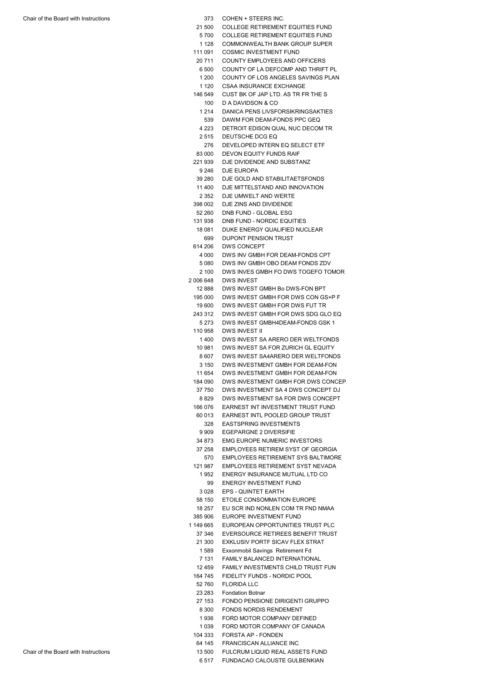- 21 500 COLLEGE RETIREMENT EQUITIES FUND
- 5 700 COLLEGE RETIREMENT EQUITIES FUND
- 1 128 COMMONWEALTH BANK GROUP SUPER
- 111 091 COSMIC INVESTMENT FUND
- 20 711 COUNTY EMPLOYEES AND OFFICERS
- 6 500 COUNTY OF LA DEFCOMP AND THRIFT PL
- 1 200 COUNTY OF LOS ANGELES SAVINGS PLAN
- 1 120 CSAA INSURANCE EXCHANGE
- 146 549 CUST BK OF JAP LTD. AS TR FR THE S
	- 100 D A DAVIDSON & CO 1 214 DANICA PENS LIVSFORSIKRINGSAKTIES
	- 539 DAWM FOR DEAM-FONDS PPC GEQ
	- 4 223 DETROIT EDISON QUAL NUC DECOM TR
	- 2 515 DEUTSCHE DCG EQ
	- 276 DEVELOPED INTERN EQ SELECT ETF
- 83 000 DEVON EQUITY FUNDS RAIF 221 939 DJE DIVIDENDE AND SUBSTANZ
- 9 246 DJE EUROPA
- 39 280 DJE GOLD AND STABILITAETSFONDS
- 11 400 DJE MITTELSTAND AND INNOVATION
- 2 352 DJE UMWELT AND WERTE
- 398 002 DJE ZINS AND DIVIDENDE
- 52 260 DNB FUND GLOBAL ESG 131 938 DNB FUND - NORDIC EQUITIES
- 18 081 DUKE ENERGY QUALIFIED NUCLEAR
- 699 DUPONT PENSION TRUST
- 614 206 DWS CONCEPT
	- 4 000 DWS INV GMBH FOR DEAM-FONDS CPT
	- 5 080 DWS INV GMBH OBO DEAM FONDS ZDV 2 100 DWS INVES GMBH FO DWS TOGEFO TOMOR
- 2 006 648 DWS INVEST
	- 12 888 DWS INVEST GMBH Bo DWS-FON BPT
	- 195 000 DWS INVEST GMBH FOR DWS CON GS+P F
	- 19 600 DWS INVEST GMBH FOR DWS FUT TR 243 312 DWS INVEST GMBH FOR DWS SDG GLO EQ
	- 5 273 DWS INVEST GMBH4DEAM-FONDS GSK 1
- 110 958 DWS INVEST II 1 400 DWS INVEST SA ARERO DER WELTFONDS
- 10 981 DWS INVEST SA FOR ZURICH GL EQUITY
- 8 607 DWS INVEST SA4ARERO DER WELTFONDS
- 3 150 DWS INVESTMENT GMBH FOR DEAM-FON
- 184 090 DWS INVESTMENT GMBH FOR DWS CONCEP 11 654 DWS INVESTMENT GMBH FOR DEAM-FON
- 37 750 DWS INVESTMENT SA 4 DWS CONCEPT DJ
- 8 829 DWS INVESTMENT SA FOR DWS CONCEPT
- 166 076 EARNEST INT INVESTMENT TRUST FUND
- 60 013 EARNEST INTL POOLED GROUP TRUST
	- 328 EASTSPRING INVESTMENTS
	- 9 909 EGEPARGNE 2 DIVERSIFIE
- 34 873 EMG EUROPE NUMERIC INVESTORS
- 570 EMPLOYEES RETIREMENT SYS BALTIMORE 37 258 EMPLOYEES RETIREM SYST OF GEORGIA
- 121 987 EMPLOYEES RETIREMENT SYST NEVADA
	- 1 952 ENERGY INSURANCE MUTUAL LTD CO
	- 99 ENERGY INVESTMENT FUND
- 3 028 EPS QUINTET EARTH 58 150 ETOILE CONSOMMATION EUROPE
- 18 257 EU SCR IND NONLEN COM TR FND NMAA
- 385 906 EUROPE INVESTMENT FUND
- 1 149 665 EUROPEAN OPPORTUNITIES TRUST PLC
	- 37 346 EVERSOURCE RETIREES BENEFIT TRUST
	- 21 300 EXKLUSIV PORTF SICAV FLEX STRAT
	- 7 131 FAMILY BALANCED INTERNATIONAL 1 589 Exxonmobil Savings Retirement Fd
	- 12 459 FAMILY INVESTMENTS CHILD TRUST FUN
	- 164 745 FIDELITY FUNDS NORDIC POOL
	- 52 760 FLORIDA LLC
	- 23 283 Fondation Botnar
	- 27 153 FONDO PENSIONE DIRIGENTI GRUPPO
	- 8 300 FONDS NORDIS RENDEMENT
	- 1 936 FORD MOTOR COMPANY DEFINED
	- 1 039 FORD MOTOR COMPANY OF CANADA
	- 104 333 FORSTA AP FONDEN
	- 64 145 FRANCISCAN ALLIANCE INC
- Chair of the Board with Instructions 13 500 FULCRUM LIQUID REAL ASSETS FUND
	- 6 517 FUNDACAO CALOUSTE GULBENKIAN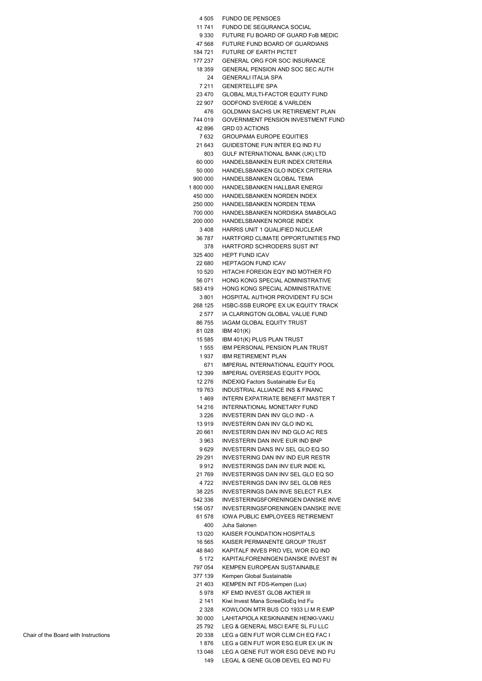| 4 505   |                                          |
|---------|------------------------------------------|
|         | <b>FUNDO DE PENSOES</b>                  |
| 11 741  | FUNDO DE SEGURANCA SOCIAL                |
| 9 330   | FUTURE FU BOARD OF GUARD FoB MEDIC       |
| 47 568  | FUTURE FUND BOARD OF GUARDIANS           |
|         |                                          |
| 184 721 | <b>FUTURE OF EARTH PICTET</b>            |
| 177 237 | <b>GENERAL ORG FOR SOC INSURANCE</b>     |
| 18 359  | GENERAL PENSION AND SOC SEC AUTH         |
| 24      | <b>GENERALI ITALIA SPA</b>               |
| 7 2 1 1 | <b>GENERTELLIFE SPA</b>                  |
|         |                                          |
| 23 470  | <b>GLOBAL MULTI-FACTOR EQUITY FUND</b>   |
| 22 907  | <b>GODFOND SVERIGE &amp; VARLDEN</b>     |
| 476     | GOLDMAN SACHS UK RETIREMENT PLAN         |
| 744 019 | GOVERNMENT PENSION INVESTMENT FUND       |
| 42 896  | <b>GRD 03 ACTIONS</b>                    |
| 7632    | <b>GROUPAMA EUROPE EQUITIES</b>          |
|         |                                          |
| 21 643  | GUIDESTONE FUN INTER EQ IND FU           |
| 803     | GULF INTERNATIONAL BANK (UK) LTD         |
| 60 000  | HANDELSBANKEN EUR INDEX CRITERIA         |
| 50 000  | HANDELSBANKEN GLO INDEX CRITERIA         |
| 900 000 | HANDELSBANKEN GLOBAL TEMA                |
|         | HANDELSBANKEN HALLBAR ENERGI             |
| 1800000 |                                          |
| 450 000 | HANDELSBANKEN NORDEN INDEX               |
| 250 000 | HANDELSBANKEN NORDEN TEMA                |
| 700 000 | HANDELSBANKEN NORDISKA SMABOLAG          |
| 200 000 | HANDELSBANKEN NORGE INDEX                |
| 3408    | HARRIS UNIT 1 QUALIFIED NUCLEAR          |
|         |                                          |
| 36 787  | HARTFORD CLIMATE OPPORTUNITIES FND       |
| 378     | HARTFORD SCHRODERS SUST INT              |
| 325 400 | <b>HEPT FUND ICAV</b>                    |
| 22 680  | <b>HEPTAGON FUND ICAV</b>                |
| 10 520  | HITACHI FOREIGN EQY IND MOTHER FD        |
|         |                                          |
| 56 071  | HONG KONG SPECIAL ADMINISTRATIVE         |
| 583 419 | HONG KONG SPECIAL ADMINISTRATIVE         |
| 3801    | HOSPITAL AUTHOR PROVIDENT FU SCH         |
| 268 125 | HSBC-SSB EUROPE EX UK EQUITY TRACK       |
| 2 577   | IA CLARINGTON GLOBAL VALUE FUND          |
|         |                                          |
| 86 755  | <b>IAGAM GLOBAL EQUITY TRUST</b>         |
| 81 028  | <b>IBM 401(K)</b>                        |
| 15 585  | IBM 401(K) PLUS PLAN TRUST               |
| 1 555   | <b>IBM PERSONAL PENSION PLAN TRUST</b>   |
| 1937    | <b>IBM RETIREMENT PLAN</b>               |
|         |                                          |
|         |                                          |
| 671     | IMPERIAL INTERNATIONAL EQUITY POOL       |
| 12 399  | <b>IMPERIAL OVERSEAS EQUITY POOL</b>     |
| 12 276  | INDEXIQ Factors Sustainable Eur Eq       |
| 19763   | INDUSTRIAL ALLIANCE INS & FINANC         |
| 1469    | INTERN EXPATRIATE BENEFIT MASTER T       |
|         |                                          |
| 14 216  | <b>INTERNATIONAL MONETARY FUND</b>       |
| 3 2 2 6 | INVESTERIN DAN INV GLO IND - A           |
| 13919   | INVESTERIN DAN INV GLO IND KL            |
| 20 661  | INVESTERIN DAN INV IND GLO AC RES        |
| 3963    | INVESTERIN DAN INVE EUR IND BNP          |
| 9629    | INVESTERIN DANS INV SEL GLO EQ SO        |
|         |                                          |
| 29 291  | INVESTERING DAN INV IND EUR RESTR        |
| 9 9 1 2 | INVESTERINGS DAN INV EUR INDE KL         |
| 21 769  | INVESTERINGS DAN INV SEL GLO EQ SO       |
| 4 7 2 2 | INVESTERINGS DAN INV SEL GLOB RES        |
| 38 225  | <b>INVESTERINGS DAN INVE SELECT FLEX</b> |
| 542 336 | INVESTERINGSFORENINGEN DANSKE INVE       |
|         |                                          |
| 156 057 | INVESTERINGSFORENINGEN DANSKE INVE       |
| 61 578  | IOWA PUBLIC EMPLOYEES RETIREMENT         |
| 400     | Juha Salonen                             |
| 13 0 20 | KAISER FOUNDATION HOSPITALS              |
| 16 565  | KAISER PERMANENTE GROUP TRUST            |
| 48 840  | KAPITALF INVES PRO VEL WOR EQ IND        |
| 5 1 7 2 | KAPITALFORENINGEN DANSKE INVEST IN       |
|         |                                          |
| 797 054 | KEMPEN EUROPEAN SUSTAINABLE              |
| 377 139 | Kempen Global Sustainable                |
| 21 403  | KEMPEN INT FDS-Kempen (Lux)              |
| 5978    | KF EMD INVEST GLOB AKTIER III            |
| 2 141   | Kiwi Invest Mana ScreeGloEq Ind Fu       |
| 2 3 2 8 | KOWLOON MTR BUS CO 1933 LI M R EMP       |
|         |                                          |
| 30 000  | LAHITAPIOLA KESKINAINEN HENKI-VAKU       |
| 25 792  | LEG & GENERAL MSCI EAFE SL FU LLC        |
| 20 338  | LEG a GEN FUT WOR CLIM CH EQ FAC I       |
| 1876    | LEG a GEN FUT WOR ESG EUR EX UK IN       |
| 13 046  | LEG A GENE FUT WOR ESG DEVE IND FU       |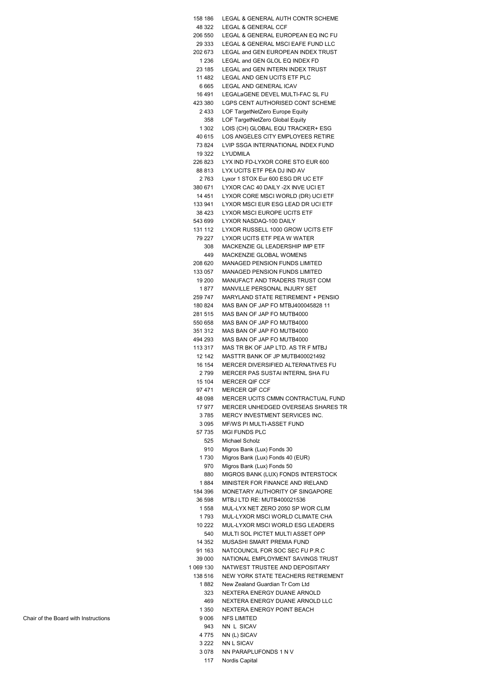| 158 186   | LEGAL & GENERAL AUTH CONTR SCHEME    |
|-----------|--------------------------------------|
| 48 322    | LEGAL & GENERAL CCF                  |
| 206 550   | LEGAL & GENERAL EUROPEAN EQ INC FU   |
| 29 333    | LEGAL & GENERAL MSCI EAFE FUND LLC   |
|           |                                      |
| 202 673   | LEGAL and GEN EUROPEAN INDEX TRUST   |
| 1 2 3 6   | LEGAL and GEN GLOL EQ INDEX FD       |
| 23 185    | LEGAL and GEN INTERN INDEX TRUST     |
| 11 482    | LEGAL AND GEN UCITS ETF PLC          |
|           |                                      |
| 6 6 6 5   | LEGAL AND GENERAL ICAV               |
| 16 491    | LEGALaGENE DEVEL MULTI-FAC SL FU     |
| 423 380   | LGPS CENT AUTHORISED CONT SCHEME     |
| 2433      | LOF TargetNetZero Europe Equity      |
| 358       | LOF TargetNetZero Global Equity      |
| 1 302     | LOIS (CH) GLOBAL EQU TRACKER+ ESG    |
|           |                                      |
| 40 615    | LOS ANGELES CITY EMPLOYEES RETIRE    |
| 73 824    | LVIP SSGA INTERNATIONAL INDEX FUND   |
| 19 322    | LYUDMILA                             |
| 226 823   | LYX IND FD-LYXOR CORE STO EUR 600    |
| 88 813    | LYX UCITS ETF PEA DJ IND AV          |
| 2 763     | Lyxor 1 STOX Eur 600 ESG DR UC ETF   |
|           |                                      |
| 380 671   | LYXOR CAC 40 DAILY -2X INVE UCI ET   |
| 14 451    | LYXOR CORE MSCI WORLD (DR) UCI ETF   |
| 133 941   | LYXOR MSCI EUR ESG LEAD DR UCI ETF   |
| 38 423    | LYXOR MSCI EUROPE UCITS ETF          |
| 543 699   | LYXOR NASDAQ-100 DAILY               |
| 131 112   | LYXOR RUSSELL 1000 GROW UCITS ETF    |
|           |                                      |
| 79 227    | LYXOR UCITS ETF PEA W WATER          |
| 308       | MACKENZIE GL LEADERSHIP IMP ETF      |
| 449       | MACKENZIE GLOBAL WOMENS              |
| 208 620   | <b>MANAGED PENSION FUNDS LIMITED</b> |
| 133 057   | <b>MANAGED PENSION FUNDS LIMITED</b> |
|           |                                      |
| 19 200    | MANUFACT AND TRADERS TRUST COM       |
| 1877      | MANVILLE PERSONAL INJURY SET         |
| 259 747   | MARYLAND STATE RETIREMENT + PENSIO   |
| 180 824   | MAS BAN OF JAP FO MTBJ400045828 11   |
| 281 515   | MAS BAN OF JAP FO MUTB4000           |
| 550 658   | MAS BAN OF JAP FO MUTB4000           |
| 351 312   | MAS BAN OF JAP FO MUTB4000           |
|           |                                      |
| 494 293   | MAS BAN OF JAP FO MUTB4000           |
| 113 317   | MAS TR BK OF JAP LTD. AS TR F MTBJ   |
| 12 142    | MASTTR BANK OF JP MUTB400021492      |
| 16 154    | MERCER DIVERSIFIED ALTERNATIVES FU   |
| 2799      | MERCER PAS SUSTAI INTERNL SHA FU     |
| 15 104    | <b>MERCER QIF CCF</b>                |
|           | MERCER OIF CCF                       |
| 97 471    |                                      |
| 48 098    | MERCER UCITS CMMN CONTRACTUAL FUND   |
| 17977     | MERCER UNHEDGED OVERSEAS SHARES TR   |
| 3785      | MERCY INVESTMENT SERVICES INC.       |
| 3095      | MF/WS PI MULTI-ASSET FUND            |
| 57 735    | <b>MGI FUNDS PLC</b>                 |
| 525       | <b>Michael Scholz</b>                |
|           |                                      |
| 910       | Migros Bank (Lux) Fonds 30           |
| 1730      | Migros Bank (Lux) Fonds 40 (EUR)     |
| 970       | Migros Bank (Lux) Fonds 50           |
| 880       | MIGROS BANK (LUX) FONDS INTERSTOCK   |
| 1884      | MINISTER FOR FINANCE AND IRELAND     |
| 184 396   | MONETARY AUTHORITY OF SINGAPORE      |
|           |                                      |
| 36 598    | MTBJ LTD RE: MUTB400021536           |
| 1558      | MUL-LYX NET ZERO 2050 SP WOR CLIM    |
| 1793      | MUL-LYXOR MSCI WORLD CLIMATE CHA     |
| 10 222    | MUL-LYXOR MSCI WORLD ESG LEADERS     |
| 540       | MULTI SOL PICTET MULTI ASSET OPP     |
| 14 3 5 2  | MUSASHI SMART PREMIA FUND            |
| 91 163    | NATCOUNCIL FOR SOC SEC FU P.R.C      |
| 39 000    | NATIONAL EMPLOYMENT SAVINGS TRUST    |
|           |                                      |
| 1 069 130 | NATWEST TRUSTEE AND DEPOSITARY       |
| 138 516   | NEW YORK STATE TEACHERS RETIREMENT   |
| 1882      | New Zealand Guardian Tr Com Ltd      |
| 323       | NEXTERA ENERGY DUANE ARNOLD          |
| 469       | NEXTERA ENERGY DUANE ARNOLD LLC      |
| 1 350     | <b>NEXTERA ENERGY POINT BEACH</b>    |
| 9006      | <b>NFS LIMITED</b>                   |
|           |                                      |
| 943       | NN L SICAV                           |
| 4775      | NN (L) SICAV                         |
| 3 2 2 2   | <b>NN L SICAV</b>                    |
| 3078      | NN PARAPLUFONDS 1 N V                |
| 117       | Nordis Capital                       |
|           |                                      |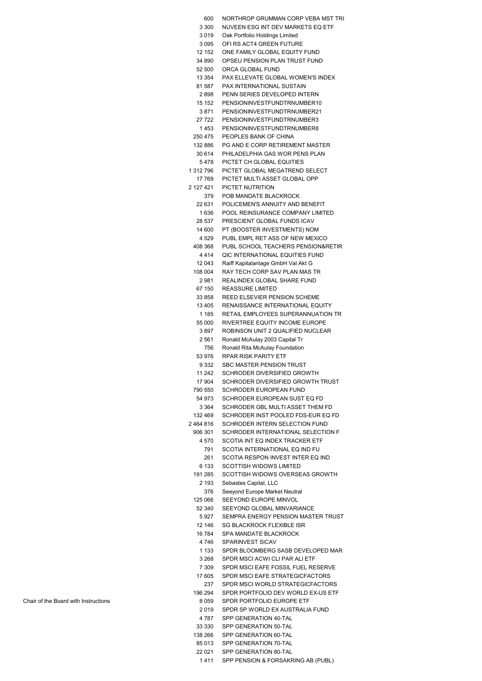| 600                | NORTHROP GRUMMAN CORP VEBA MST TRI                                  |
|--------------------|---------------------------------------------------------------------|
| 3 3 0 0            | NUVEEN ESG INT DEV MARKETS EQ ETF                                   |
| 3019<br>3095       | Oak Portfolio Holdings Limited                                      |
| 12 152             | OFI RS ACT4 GREEN FUTURE<br>ONE FAMILY GLOBAL EQUITY FUND           |
| 34 890             | OPSEU PENSION PLAN TRUST FUND                                       |
| 52 500             | ORCA GLOBAL FUND                                                    |
| 13 354             | PAX ELLEVATE GLOBAL WOMEN'S INDEX                                   |
| 81 587             | PAX INTERNATIONAL SUSTAIN                                           |
| 2898               | PENN SERIES DEVELOPED INTERN                                        |
| 15 152             | PENSIONINVESTFUNDTRNUMBER10                                         |
| 3871               | PENSIONINVESTFUNDTRNUMBER21                                         |
| 27 722             | PENSIONINVESTFUNDTRNUMBER3                                          |
| 1453<br>250 475    | PENSIONINVESTFUNDTRNUMBER8<br>PEOPLES BANK OF CHINA                 |
| 132 886            | PG AND E CORP RETIREMENT MASTER                                     |
| 30 614             | PHILADELPHIA GAS WOR PENS PLAN                                      |
| 5 478              | PICTET CH GLOBAL EQUITIES                                           |
| 1 312 796          | PICTET GLOBAL MEGATREND SELECT                                      |
| 17 769             | PICTET MULTI ASSET GLOBAL OPP                                       |
| 2 127 421          | PICTET NUTRITION                                                    |
| 379<br>22 631      | POB MANDATE BLACKROCK                                               |
| 1636               | POLICEMEN'S ANNUITY AND BENEFIT<br>POOL REINSURANCE COMPANY LIMITED |
| 28 537             | PRESCIENT GLOBAL FUNDS ICAV                                         |
| 14 600             | PT (BOOSTER INVESTMENTS) NOM                                        |
| 4 529              | PUBL EMPL RET ASS OF NEW MEXICO                                     |
| 408 368            | PUBL SCHOOL TEACHERS PENSION&RETIR                                  |
| 4414               | QIC INTERNATIONAL EQUITIES FUND                                     |
| 12 043             | Raiff Kapitalanlage GmbH Val Akt G                                  |
| 108 004<br>2981    | RAY TECH CORP SAV PLAN MAS TR<br>REALINDEX GLOBAL SHARE FUND        |
| 67 150             | <b>REASSURE LIMITED</b>                                             |
| 33 858             | REED ELSEVIER PENSION SCHEME                                        |
| 13 4 05            | RENAISSANCE INTERNATIONAL EQUITY                                    |
| 1 1 8 5            | RETAIL EMPLOYEES SUPERANNUATION TR                                  |
| 55 000             | RIVERTREE EQUITY INCOME EUROPE                                      |
| 3897<br>2561       | ROBINSON UNIT 2 QUALIFIED NUCLEAR<br>Ronald McAulay 2003 Capital Tr |
| 756                | Ronald Rita McAulay Foundation                                      |
| 53 976             | <b>RPAR RISK PARITY ETF</b>                                         |
| 9 3 3 2            | <b>SBC MASTER PENSION TRUST</b>                                     |
| 11 242             | SCHRODER DIVERSIFIED GROWTH                                         |
| 17 904<br>790 550  | SCHRODER DIVERSIFIED GROWTH TRUST<br>SCHRODER EUROPEAN FUND         |
| 54 973             | SCHRODER EUROPEAN SUST EQ FD                                        |
| 3 364              | SCHRODER GBL MULTI ASSET THEM FD                                    |
| 132 469            | SCHRODER INST POOLED FDS-EUR EQ FD                                  |
| 2464816            | SCHRODER INTERN SELECTION FUND                                      |
| 906 301            | SCHRODER INTERNATIONAL SELECTION F                                  |
| 4 570<br>791       | SCOTIA INT EQ INDEX TRACKER ETF<br>SCOTIA INTERNATIONAL EQ IND FU   |
| 261                | SCOTIA RESPON INVEST INTER EQ IND                                   |
| 6 133              | <b>SCOTTISH WIDOWS LIMITED</b>                                      |
| 191 285            | SCOTTISH WIDOWS OVERSEAS GROWTH                                     |
| 2 193              | Sebastes Capital, LLC                                               |
| 376                | Seeyond Europe Market Neutral<br>SEEYOND EUROPE MINVOL              |
| 125 066<br>52 340  | SEEYOND GLOBAL MINVARIANCE                                          |
| 5927               | SEMPRA ENERGY PENSION MASTER TRUST                                  |
| 12 146             | <b>SG BLACKROCK FLEXIBLE ISR</b>                                    |
| 16 784             | SPA MANDATE BLACKROCK                                               |
| 4 7 4 6            | SPARINVEST SICAV                                                    |
| 1 1 3 3<br>3 2 6 8 | SPDR BLOOMBERG SASB DEVELOPED MAR<br>SPDR MSCI ACWI CLI PAR ALI ETF |
| 7 3 0 9            | SPDR MSCI EAFE FOSSIL FUEL RESERVE                                  |
| 17 605             | SPDR MSCI EAFE STRATEGICFACTORS                                     |
| 237                | SPDR MSCI WORLD STRATEGICFACTORS                                    |
| 196 294            | SPDR PORTFOLIO DEV WORLD EX-US ETF                                  |
| 8059               | SPDR PORTFOLIO EUROPE ETF                                           |
| 2019<br>4 787      | SPDR SP WORLD EX AUSTRALIA FUND<br>SPP GENERATION 40-TAL            |
| 33 330             | SPP GENERATION 50-TAL                                               |
| 138 266            | SPP GENERATION 60-TAL                                               |
| 85 013             | SPP GENERATION 70-TAL                                               |
| 22 0 21            | SPP GENERATION 80-TAL                                               |
| 1411               | SPP PENSION & FORSAKRING AB (PUBL)                                  |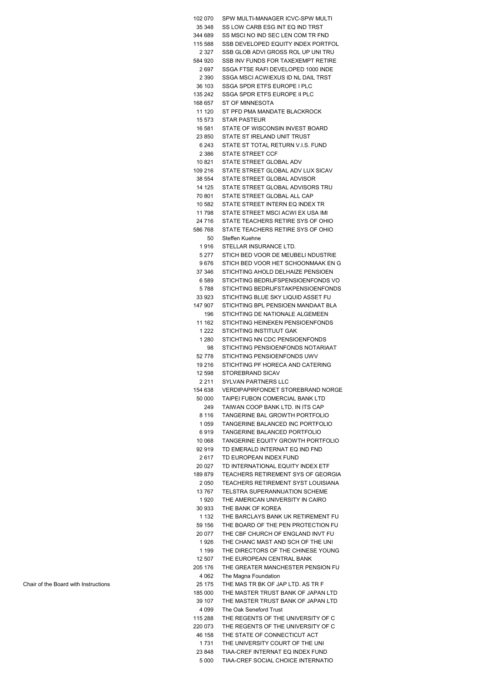| 102 070           | SPW MULTI-MANAGER ICVC-SPW MULTI                                       |
|-------------------|------------------------------------------------------------------------|
| 35 348            | SS LOW CARB ESG INT EQ IND TRST                                        |
| 344 689           | SS MSCI NO IND SEC LEN COM TR FND                                      |
| 115 588           | SSB DEVELOPED EQUITY INDEX PORTFOL                                     |
| 2 3 2 7           | SSB GLOB ADVI GROSS ROL UP UNI TRU                                     |
| 584 920           | SSB INV FUNDS FOR TAXEXEMPT RETIRE                                     |
| 2697              | SSGA FTSE RAFI DEVELOPED 1000 INDE                                     |
| 2 3 9 0           | SSGA MSCI ACWIEXUS ID NL DAIL TRST                                     |
| 36 103            | SSGA SPDR ETFS EUROPE I PLC                                            |
| 135 242           | SSGA SPDR ETFS EUROPE II PLC                                           |
|                   |                                                                        |
| 168 657           | ST OF MINNESOTA                                                        |
| 11 120            | ST PFD PMA MANDATE BLACKROCK                                           |
| 15 573            | <b>STAR PASTEUR</b>                                                    |
| 16 581            | STATE OF WISCONSIN INVEST BOARD                                        |
| 23 850            | STATE ST IRELAND UNIT TRUST                                            |
| 6 2 4 3           | STATE ST TOTAL RETURN V.I.S. FUND                                      |
| 2 3 8 6           | <b>STATE STREET CCF</b>                                                |
| 10 821            | STATE STREET GLOBAL ADV                                                |
| 109 216           | STATE STREET GLOBAL ADV LUX SICAV                                      |
| 38 554            | STATE STREET GLOBAL ADVISOR                                            |
| 14 125            | STATE STREET GLOBAL ADVISORS TRU                                       |
| 70 801            | STATE STREET GLOBAL ALL CAP                                            |
| 10 582            | STATE STREET INTERN EQ INDEX TR                                        |
| 11 798            | STATE STREET MSCI ACWI EX USA IMI                                      |
| 24 716            | STATE TEACHERS RETIRE SYS OF OHIO                                      |
| 586 768           | STATE TEACHERS RETIRE SYS OF OHIO                                      |
| 50                | Steffen Kuehne                                                         |
| 1916              | STELLAR INSURANCE LTD.                                                 |
| 5 277             | STICH BED VOOR DE MEUBELI NDUSTRIE                                     |
| 9676              | STICH BED VOOR HET SCHOONMAAK EN G                                     |
| 37 346            | STICHTING AHOLD DELHAIZE PENSIOEN                                      |
| 6 5 8 9           | STICHTING BEDRIJFSPENSIOENFONDS VO                                     |
| 5788              | STICHTING BEDRIJFSTAKPENSIOENFONDS                                     |
| 33 923            | STICHTING BLUE SKY LIQUID ASSET FU                                     |
| 147 907           | STICHTING BPL PENSIOEN MANDAAT BLA                                     |
| 196               | STICHTING DE NATIONALE ALGEMEEN                                        |
| 11 162            | STICHTING HEINEKEN PENSIOENFONDS                                       |
| 1 2 2 2           | STICHTING INSTITUUT GAK                                                |
| 1 2 8 0           | STICHTING NN CDC PENSIOENFONDS                                         |
| 98                | STICHTING PENSIOENFONDS NOTARIAAT                                      |
| 52 778            | STICHTING PENSIOENFONDS UWV                                            |
| 19 216            | STICHTING PF HORECA AND CATERING                                       |
| 12 598            | STOREBRAND SICAV                                                       |
| 2 2 1 1           | <b>SYLVAN PARTNERS LLC</b>                                             |
| 154 638           | VERDIPAPIRFONDET STOREBRAND NORGE                                      |
| 50 000            | TAIPEI FUBON COMERCIAL BANK LTD                                        |
| 249               | TAIWAN COOP BANK LTD. IN ITS CAP                                       |
| 8 1 1 6           | TANGERINE BAL GROWTH PORTFOLIO                                         |
| 1 0 5 9           | TANGERINE BALANCED INC PORTFOLIO                                       |
| 6919              | TANGERINE BALANCED PORTFOLIO                                           |
| 10 068            | TANGERINE EQUITY GROWTH PORTFOLIO                                      |
| 92919             | TD EMERALD INTERNAT EQ IND FND                                         |
| 2617              | TD EUROPEAN INDEX FUND                                                 |
| 20 027            | TD INTERNATIONAL EQUITY INDEX ETF                                      |
| 189879            | TEACHERS RETIREMENT SYS OF GEORGIA                                     |
| 2050              | TEACHERS RETIREMENT SYST LOUISIANA                                     |
| 13767             | TELSTRA SUPERANNUATION SCHEME                                          |
| 1920              | THE AMERICAN UNIVERSITY IN CAIRO                                       |
| 30 933            | THE BANK OF KOREA                                                      |
| 1 1 3 2           | THE BARCLAYS BANK UK RETIREMENT FU                                     |
| 59 156            | THE BOARD OF THE PEN PROTECTION FU                                     |
| 20 077            | THE CBF CHURCH OF ENGLAND INVT FU                                      |
| 1926              | THE CHANC MAST AND SCH OF THE UNI                                      |
| 1 1 9 9           | THE DIRECTORS OF THE CHINESE YOUNG                                     |
| 12 507            | THE EUROPEAN CENTRAL BANK                                              |
| 205 176           | THE GREATER MANCHESTER PENSION FU                                      |
| 4 0 6 2           | The Magna Foundation                                                   |
|                   |                                                                        |
| 25 175            | THE MAS TR BK OF JAP LTD. AS TR F                                      |
| 185 000           | THE MASTER TRUST BANK OF JAPAN LTD                                     |
| 39 107            | THE MASTER TRUST BANK OF JAPAN LTD                                     |
| 4 0 9 9           | The Oak Seneford Trust                                                 |
| 115 288           | THE REGENTS OF THE UNIVERSITY OF C                                     |
| 220 073<br>46 158 |                                                                        |
|                   | THE REGENTS OF THE UNIVERSITY OF C                                     |
|                   | THE STATE OF CONNECTICUT ACT                                           |
| 1731              | THE UNIVERSITY COURT OF THE UNI                                        |
| 23 848<br>5 000   | TIAA-CREF INTERNAT EQ INDEX FUND<br>TIAA-CREF SOCIAL CHOICE INTERNATIO |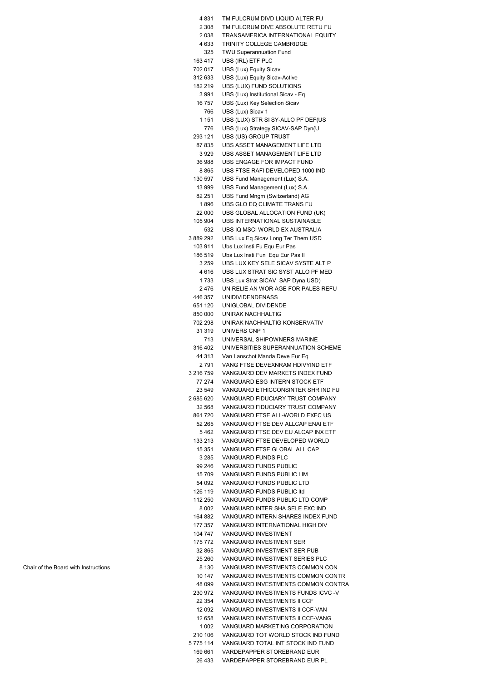| 4831               | TM FULCRUM DIVD LIQUID ALTER FU                                    |
|--------------------|--------------------------------------------------------------------|
| 2 3 0 8            | TM FULCRUM DIVE ABSOLUTE RETU FU                                   |
| 2038               | TRANSAMERICA INTERNATIONAL EQUITY                                  |
| 4 633              | TRINITY COLLEGE CAMBRIDGE                                          |
| 325                | <b>TWU Superannuation Fund</b>                                     |
| 163 417            | UBS (IRL) ETF PLC                                                  |
| 702 017            | UBS (Lux) Equity Sicav                                             |
| 312 633            | UBS (Lux) Equity Sicav-Active                                      |
| 182 219            | UBS (LUX) FUND SOLUTIONS                                           |
| 3991               | UBS (Lux) Institutional Sicav - Eq                                 |
| 16757              | UBS (Lux) Key Selection Sicav                                      |
| 766                | UBS (Lux) Sicav 1                                                  |
| 1 1 5 1            | UBS (LUX) STR SI SY-ALLO PF DEF(US                                 |
| 776<br>293 121     | UBS (Lux) Strategy SICAV-SAP Dyn(U<br>UBS (US) GROUP TRUST         |
| 87 835             | UBS ASSET MANAGEMENT LIFE LTD                                      |
| 3929               | UBS ASSET MANAGEMENT LIFE LTD                                      |
| 36 988             | UBS ENGAGE FOR IMPACT FUND                                         |
| 8865               | UBS FTSE RAFI DEVELOPED 1000 IND                                   |
| 130 597            | UBS Fund Management (Lux) S.A.                                     |
| 13 999             | UBS Fund Management (Lux) S.A.                                     |
| 82 251             | UBS Fund Mngm (Switzerland) AG                                     |
| 1896               | UBS GLO EQ CLIMATE TRANS FU                                        |
| 22 000             | UBS GLOBAL ALLOCATION FUND (UK)                                    |
| 105 904            | <b>UBS INTERNATIONAL SUSTAINABLE</b>                               |
| 532                | UBS IQ MSCI WORLD EX AUSTRALIA                                     |
| 3889292            | UBS Lux Eq Sicav Long Ter Them USD                                 |
| 103 911            | Ubs Lux Insti Fu Equ Eur Pas                                       |
| 186 519            | Ubs Lux Insti Fun Equ Eur Pas II                                   |
| 3 2 5 9            | UBS LUX KEY SELE SICAV SYSTE ALT P                                 |
| 4616               | UBS LUX STRAT SIC SYST ALLO PF MED                                 |
| 1733               | UBS Lux Strat SICAV SAP Dyna USD)                                  |
| 2 476              | UN RELIE AN WOR AGE FOR PALES REFU                                 |
| 446 357            | <b>UNIDIVIDENDENASS</b>                                            |
| 651 120            | UNIGLOBAL DIVIDENDE                                                |
| 850 000            | UNIRAK NACHHALTIG                                                  |
| 702 298            | UNIRAK NACHHALTIG KONSERVATIV                                      |
| 31 319             | UNIVERS CNP 1                                                      |
| 713                | UNIVERSAL SHIPOWNERS MARINE                                        |
| 316 402            | UNIVERSITIES SUPERANNUATION SCHEME                                 |
| 44 313<br>2791     | Van Lanschot Manda Deve Eur Eq<br>VANG FTSE DEVEXNRAM HDIVYIND ETF |
| 3 216 759          | VANGUARD DEV MARKETS INDEX FUND                                    |
| 77 274             | VANGUARD ESG INTERN STOCK ETF                                      |
| 23 549             | VANGUARD ETHICCONSINTER SHR IND FU                                 |
| 2 685 620          | VANGUARD FIDUCIARY TRUST COMPANY                                   |
| 32 568             | VANGUARD FIDUCIARY TRUST COMPANY                                   |
| 861 720            | VANGUARD FTSE ALL-WORLD EXEC US                                    |
| 52 265             | VANGUARD FTSE DEV ALLCAP ENAI ETF                                  |
| 5462               | VANGUARD FTSE DEV EU ALCAP INX ETF                                 |
| 133 213            | VANGUARD FTSE DEVELOPED WORLD                                      |
| 15 351             | VANGUARD FTSE GLOBAL ALL CAP                                       |
| 3 285              | VANGUARD FUNDS PLC                                                 |
| 99 246             | <b>VANGUARD FUNDS PUBLIC</b>                                       |
| 15 709             | VANGUARD FUNDS PUBLIC LIM                                          |
| 54 092             | VANGUARD FUNDS PUBLIC LTD                                          |
| 126 119            | VANGUARD FUNDS PUBLIC Itd                                          |
| 112 250            | VANGUARD FUNDS PUBLIC LTD COMP                                     |
| 8 002              | VANGUARD INTER SHA SELE EXC IND                                    |
| 164 882            | VANGUARD INTERN SHARES INDEX FUND                                  |
| 177 357            | VANGUARD INTERNATIONAL HIGH DIV                                    |
| 104 747<br>175 772 | VANGUARD INVESTMENT<br>VANGUARD INVESTMENT SER                     |
| 32 865             | VANGUARD INVESTMENT SER PUB                                        |
| 25 260             | VANGUARD INVESTMENT SERIES PLC                                     |
| 8 1 3 0            | VANGUARD INVESTMENTS COMMON CON                                    |
| 10 147             | VANGUARD INVESTMENTS COMMON CONTR                                  |
| 48 099             | VANGUARD INVESTMENTS COMMON CONTRA                                 |
| 230 972            | VANGUARD INVESTMENTS FUNDS ICVC -V                                 |
| 22 3 54            | VANGUARD INVESTMENTS II CCF                                        |
| 12 092             | VANGUARD INVESTMENTS II CCF-VAN                                    |
| 12 658             | VANGUARD INVESTMENTS II CCF-VANG                                   |
| 1 002              | VANGUARD MARKETING CORPORATION                                     |
| 210 106            | VANGUARD TOT WORLD STOCK IND FUND                                  |
| 5 775 114          | VANGUARD TOTAL INT STOCK IND FUND                                  |
| 169 661            | VARDEPAPPER STOREBRAND EUR                                         |
| 26 433             | VARDEPAPPER STOREBRAND EUR PL                                      |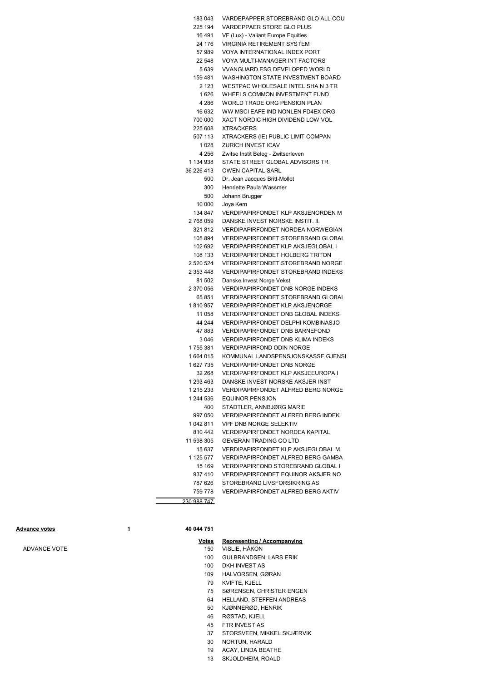| 183 043     | VARDEPAPPER STOREBRAND GLO ALL COU        |
|-------------|-------------------------------------------|
| 225 194     | VARDEPPAER STORE GLO PLUS                 |
| 16 491      | VF (Lux) - Valiant Europe Equities        |
| 24 176      | VIRGINIA RETIREMENT SYSTEM                |
| 57989       | VOYA INTERNATIONAL INDEX PORT             |
| 22 548      | VOYA MULTI-MANAGER INT FACTORS            |
| 5 639       | VVANGUARD ESG DEVELOPED WORLD             |
| 159 481     | WASHINGTON STATE INVESTMENT BOARD         |
| 2 123       | WESTPAC WHOLESALE INTEL SHA N 3 TR        |
| 1 6 2 6     | WHEELS COMMON INVESTMENT FUND             |
| 4 2 8 6     | WORLD TRADE ORG PENSION PLAN              |
| 16 632      | WW MSCI EAFE IND NONLEN FD4EX ORG         |
| 700 000     | XACT NORDIC HIGH DIVIDEND LOW VOL         |
| 225 608     | <b>XTRACKERS</b>                          |
| 507 113     | XTRACKERS (IE) PUBLIC LIMIT COMPAN        |
| 1028        | ZURICH INVEST ICAV                        |
| 4 256       | Zwitse Instit Beleg - Zwitserleven        |
| 1 134 938   | STATE STREET GLOBAL ADVISORS TR           |
| 36 226 413  | <b>OWEN CAPITAL SARL</b>                  |
| 500         | Dr. Jean Jacques Britt-Mollet             |
| 300         | Henriette Paula Wassmer                   |
| 500         | Johann Brugger                            |
| 10 000      | Joya Kern                                 |
| 134 847     | VERDIPAPIRFONDET KLP AKSJENORDEN M        |
| 2768059     | DANSKE INVEST NORSKE INSTIT. II.          |
| 321812      | <b>VERDIPAPIRFONDET NORDEA NORWEGIAN</b>  |
| 105 894     | <b>VERDIPAPIRFONDET STOREBRAND GLOBAL</b> |
| 102 692     | <b>VERDIPAPIRFONDET KLP AKSJEGLOBAL I</b> |
| 108 133     | <b>VERDIPAPIRFONDET HOLBERG TRITON</b>    |
| 2 520 524   | <b>VERDIPAPIRFONDET STOREBRAND NORGE</b>  |
| 2 353 448   | <b>VERDIPAPIRFONDET STOREBRAND INDEKS</b> |
| 81 502      | Danske Invest Norge Vekst                 |
| 2 370 056   | <b>VERDIPAPIRFONDET DNB NORGE INDEKS</b>  |
| 65 851      | VERDIPAPIRFONDET STOREBRAND GLOBAL        |
| 1810957     | <b>VERDIPAPIRFONDET KLP AKSJENORGE</b>    |
| 11 058      | VERDIPAPIRFONDET DNB GLOBAL INDEKS        |
| 44 244      | VERDIPAPIRFONDET DELPHI KOMBINASJO        |
| 47 883      | <b>VERDIPAPIRFONDET DNB BARNEFOND</b>     |
| 3 0 4 6     | <b>VERDIPAPIRFONDET DNB KLIMA INDEKS</b>  |
| 1755381     | <b>VERDIPAPIRFOND ODIN NORGE</b>          |
| 1664015     | KOMMUNAL LANDSPENSJONSKASSE GJENSI        |
| 1627735     | <b>VERDIPAPIRFONDET DNB NORGE</b>         |
| 32 268      | VERDIPAPIRFONDET KLP AKSJEEUROPA I        |
| 1 293 463   | DANSKE INVEST NORSKE AKSJER INST          |
| 1 215 233   | VERDIPAPIRFONDET ALFRED BERG NORGE        |
| 1 244 536   | <b>EQUINOR PENSJON</b>                    |
| 400         | STADTLER, ANNBJØRG MARIE                  |
| 997 050     | <b>VERDIPAPIRFONDET ALFRED BERG INDEK</b> |
| 1042811     | <b>VPF DNB NORGE SELEKTIV</b>             |
| 810 442     | <b>VERDIPAPIRFONDET NORDEA KAPITAL</b>    |
| 11 598 305  | <b>GEVERAN TRADING CO LTD</b>             |
| 15 637      | VERDIPAPIRFONDET KLP AKSJEGLOBAL M        |
| 1 125 577   | VERDIPAPIRFONDET ALFRED BERG GAMBA        |
| 15 169      | VERDIPAPIRFOND STOREBRAND GLOBAL I        |
| 937 410     | VERDIPAPIRFONDET EQUINOR AKSJER NO        |
| 787 626     | STOREBRAND LIVSFORSIKRING AS              |
| 759 778     | <b>VERDIPAPIRFONDET ALFRED BERG AKTIV</b> |
| 230 988 747 |                                           |

#### Advance votes 1 40 044 751

#### Votes Representing / Accompanying ADVANCE VOTE 150 VISLIE, HÅKON

- 100 GULBRANDSEN, LARS ERIK
- 100 DKH INVEST AS
- 109 HALVORSEN, GØRAN
- 79 KVIFTE, KJELL
- 75 SØRENSEN, CHRISTER ENGEN
- 64 HELLAND, STEFFEN ANDREAS
- 50 KJØNNERØD, HENRIK
- 46 RØSTAD, KJELL
- 45 FTR INVEST AS
- 37 STORSVEEN, MIKKEL SKJÆRVIK
- 30 NORTUN, HARALD
- 13 SKJOLDHEIM, ROALD 19 ACAY, LINDA BEATHE
-